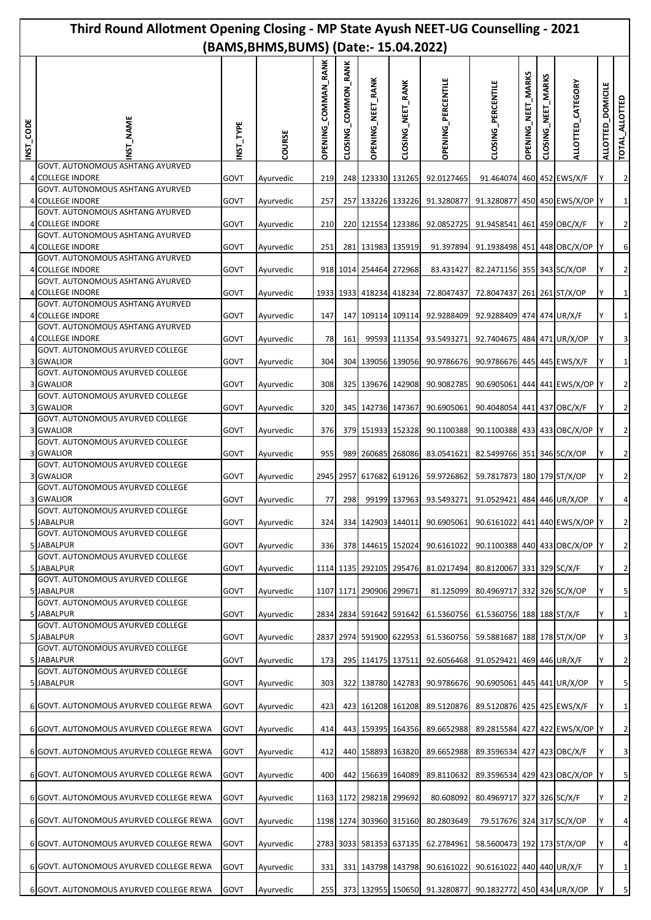|          | Third Round Allotment Opening Closing - MP State Ayush NEET-UG Counselling - 2021<br>(BAMS, BHMS, BUMS) (Date: - 15.04.2022) |             |           |                               |                     |                         |                   |                                                    |                               |                    |                                  |                               |                             |                         |
|----------|------------------------------------------------------------------------------------------------------------------------------|-------------|-----------|-------------------------------|---------------------|-------------------------|-------------------|----------------------------------------------------|-------------------------------|--------------------|----------------------------------|-------------------------------|-----------------------------|-------------------------|
|          |                                                                                                                              |             |           |                               |                     |                         |                   |                                                    |                               |                    |                                  |                               |                             |                         |
| NST_CODE | NAME                                                                                                                         | NST_TYPE    | COURSE    | <b>RANK</b><br>OPENING_COMMAN | CLOSING_COMMON_RANK | RANK<br>OPENING_NEET    | CLOSING_NEET_RANK | <b>OPENING_PERCENTILE</b>                          | CLOSING_PERCENTILE            | OPENING_NEET_MARKS | <b>MARKS</b><br>_NEET<br>CLOSING | ALLOTTED_CATEGORY             | <b>DOMICILE</b><br>ALLOTTED | TOTAL_ALLOTTED          |
|          | <b>GOVT. AUTONOMOUS ASHTANG AYURVED</b>                                                                                      |             |           |                               |                     |                         |                   |                                                    |                               |                    |                                  |                               |                             |                         |
|          | <b>4 COLLEGE INDORE</b>                                                                                                      | GOVT        | Ayurvedic | 219                           |                     | 248 123330 131265       |                   | 92.0127465                                         | 91.464074 460 452 EWS/X/F     |                    |                                  |                               |                             | $\overline{2}$          |
|          | GOVT. AUTONOMOUS ASHTANG AYURVED<br>4 COLLEGE INDORE                                                                         | GOVT        | Ayurvedic | 257                           |                     | 257 133226 133226       |                   | 91.3280877                                         |                               |                    |                                  | 91.3280877 450 450 EWS/X/OP Y |                             | $\mathbf{1}$            |
|          | GOVT. AUTONOMOUS ASHTANG AYURVED                                                                                             |             |           |                               |                     |                         |                   |                                                    |                               |                    |                                  |                               |                             |                         |
|          | <b>COLLEGE INDORE</b><br>GOVT. AUTONOMOUS ASHTANG AYURVED                                                                    | GOVT        | Ayurvedic | 210                           |                     | 220 121554 123386       |                   | 92.0852725                                         | 91.9458541 461 459 OBC/X/F    |                    |                                  |                               |                             | $\overline{2}$          |
|          | 4 COLLEGE INDORE                                                                                                             | GOVT        | Ayurvedic | 251                           |                     | 281 131983 135919       |                   | 91.397894                                          | 91.1938498 451 448 OBC/X/OP   |                    |                                  |                               |                             | 6                       |
|          | <b>GOVT. AUTONOMOUS ASHTANG AYURVED</b><br>4 COLLEGE INDORE                                                                  | <b>GOVT</b> | Ayurvedic |                               |                     | 918 1014 254464 272968  |                   | 83.431427                                          | 82.2471156 355 343 SC/X/OP    |                    |                                  |                               |                             | $\overline{2}$          |
|          | GOVT. AUTONOMOUS ASHTANG AYURVED                                                                                             |             |           |                               |                     |                         |                   |                                                    |                               |                    |                                  |                               |                             |                         |
|          | 4 COLLEGE INDORE<br>GOVT. AUTONOMOUS ASHTANG AYURVED                                                                         | GOVT        | Ayurvedic |                               |                     | 1933 1933 418234 418234 |                   | 72.8047437                                         | 72.8047437 261 261 ST/X/OP    |                    |                                  |                               |                             | $\mathbf{1}$            |
|          | <b>COLLEGE INDORE</b>                                                                                                        | GOVT        | Ayurvedic | 147                           |                     |                         |                   | 147 109114 109114 92.9288409                       | 92.9288409 474 474 UR/X/F     |                    |                                  |                               |                             | $\mathbf{1}$            |
|          | GOVT. AUTONOMOUS ASHTANG AYURVED<br>4 COLLEGE INDORE                                                                         | GOVT        | Ayurvedic | 78                            | 161                 |                         | 99593 111354      | 93.5493271                                         | 92.7404675 484 471 UR/X/OP    |                    |                                  |                               |                             | 3                       |
|          | GOVT. AUTONOMOUS AYURVED COLLEGE                                                                                             |             |           |                               |                     |                         |                   |                                                    |                               |                    |                                  |                               |                             | $\mathbf{1}$            |
|          | 3 GWALIOR<br>GOVT. AUTONOMOUS AYURVED COLLEGE                                                                                | <b>GOVT</b> | Ayurvedic | 304                           |                     | 304 139056 139056       |                   | 90.9786676                                         | 90.9786676 445 445 EWS/X/F    |                    |                                  |                               |                             |                         |
|          | 3 GWALIOR<br>GOVT. AUTONOMOUS AYURVED COLLEGE                                                                                | GOVT        | Ayurvedic | 308                           |                     | 325 139676 142908       |                   | 90.9082785                                         |                               |                    |                                  | 90.6905061 444 441 EWS/X/OP Y |                             | $\overline{2}$          |
|          | <b>GWALIOR</b>                                                                                                               | GOVT        | Ayurvedic | 320                           |                     | 345 142736 147367       |                   | 90.6905061                                         | 90.4048054 441 437 OBC/X/F    |                    |                                  |                               |                             | $\overline{2}$          |
|          | GOVT. AUTONOMOUS AYURVED COLLEGE                                                                                             |             |           |                               |                     |                         |                   |                                                    |                               |                    |                                  |                               |                             | $\overline{2}$          |
|          | 3 GWALIOR<br>GOVT. AUTONOMOUS AYURVED COLLEGE                                                                                | GOVT        | Ayurvedic | 376                           |                     | 379 151933 152328       |                   | 90.1100388                                         | 90.1100388 433 433 OBC/X/OP   |                    |                                  |                               |                             |                         |
|          | 3 GWALIOR                                                                                                                    | <b>GOVT</b> | Ayurvedic | 955                           |                     | 989 260685 268086       |                   | 83.0541621                                         | 82.5499766 351 346 SC/X/OP    |                    |                                  |                               |                             | $\overline{2}$          |
|          | <b>GOVT. AUTONOMOUS AYURVED COLLEGE</b><br>3 GWALIOR                                                                         | GOVT        | Ayurvedic | 2945                          | 2957                | 617682 619126           |                   | 59.9726862                                         | 59.7817873 180 179 ST/X/OP    |                    |                                  |                               |                             | $\overline{2}$          |
|          | GOVT. AUTONOMOUS AYURVED COLLEGE                                                                                             |             |           |                               |                     |                         |                   |                                                    |                               |                    |                                  |                               |                             |                         |
|          | 3 GWALIOR<br>GOVT. AUTONOMOUS AYURVED COLLEGE                                                                                | <b>GOVT</b> | Ayurvedic | 77                            | 298                 |                         |                   | 99199 137963 93.5493271 91.0529421 484 446 UR/X/OP |                               |                    |                                  |                               |                             | $\overline{4}$          |
|          | 5 JABALPUR<br>GOVT. AUTONOMOUS AYURVED COLLEGE                                                                               | <b>GOVT</b> | Ayurvedic | 324                           |                     | 334 142903 144011       |                   | 90.6905061                                         | 90.6161022 441 440 EWS/X/OP Y |                    |                                  |                               |                             | $\overline{2}$          |
|          | 5 JABALPUR                                                                                                                   | GOVT        | Ayurvedic | 336                           |                     | 378 144615 152024       |                   | 90.6161022                                         | 90.1100388 440 433 OBC/X/OP Y |                    |                                  |                               |                             | $\overline{2}$          |
|          | GOVT. AUTONOMOUS AYURVED COLLEGE                                                                                             |             |           |                               |                     |                         | 295476            | 81.0217494                                         |                               |                    |                                  |                               |                             | $\overline{2}$          |
|          | 5 JABALPUR<br>GOVT. AUTONOMOUS AYURVED COLLEGE                                                                               | <b>GOVT</b> | Ayurvedic |                               |                     | 1114 1135 292105        |                   |                                                    | 80.8120067 331 329 SC/X/F     |                    |                                  |                               |                             |                         |
|          | 5 JABALPUR<br>GOVT. AUTONOMOUS AYURVED COLLEGE                                                                               | <b>GOVT</b> | Ayurvedic |                               |                     | 1107 1171 290906 299671 |                   | 81.125099                                          | 80.4969717 332 326 SC/X/OP    |                    |                                  |                               | lY.                         | 5                       |
|          | 5 JABALPUR                                                                                                                   | GOVT        | Ayurvedic |                               |                     | 2834 2834 591642 591642 |                   | 61.5360756                                         | 61.5360756 188 188 ST/X/F     |                    |                                  |                               |                             | $\mathbf{1}$            |
|          | GOVT. AUTONOMOUS AYURVED COLLEGE<br>5 JABALPUR                                                                               | GOVT        | Ayurvedic |                               |                     | 2837 2974 591900 622953 |                   | 61.5360756                                         | 59.5881687 188 178 ST/X/OP    |                    |                                  |                               | lY.                         | $\overline{\mathbf{3}}$ |
|          | GOVT. AUTONOMOUS AYURVED COLLEGE                                                                                             |             |           |                               |                     |                         |                   |                                                    |                               |                    |                                  |                               |                             |                         |
|          | 5 JABALPUR<br>GOVT. AUTONOMOUS AYURVED COLLEGE                                                                               | <b>GOVT</b> | Ayurvedic | 173                           |                     | 295 114175 137511       |                   | 92.6056468                                         | 91.0529421 469 446 UR/X/F     |                    |                                  |                               |                             | $\overline{2}$          |
|          | 5 JABALPUR                                                                                                                   | GOVT        | Ayurvedic | 303                           |                     | 322 138780 142783       |                   | 90.9786676                                         | 90.6905061 445 441 UR/X/OP    |                    |                                  |                               | ΙY                          | 5                       |
|          | 6 GOVT. AUTONOMOUS AYURVED COLLEGE REWA                                                                                      | GOVT        | Ayurvedic | 423                           |                     | 423 161208 161208       |                   | 89.5120876                                         | 89.5120876 425 425 EWS/X/F    |                    |                                  |                               |                             | $\mathbf{1}$            |
|          |                                                                                                                              |             |           |                               |                     |                         |                   |                                                    |                               |                    |                                  |                               |                             |                         |
|          | 6 GOVT. AUTONOMOUS AYURVED COLLEGE REWA                                                                                      | GOVT        | Ayurvedic | 414                           |                     | 443 159395 164356       |                   | 89.6652988                                         | 89.2815584 427 422 EWS/X/OP Y |                    |                                  |                               |                             | $\overline{2}$          |
|          | 6 GOVT. AUTONOMOUS AYURVED COLLEGE REWA                                                                                      | <b>GOVT</b> | Ayurvedic | 412                           |                     | 440 158893 163820       |                   | 89.6652988                                         | 89.3596534 427 423 OBC/X/F    |                    |                                  |                               |                             | $\overline{\mathbf{3}}$ |
|          | 6 GOVT. AUTONOMOUS AYURVED COLLEGE REWA                                                                                      | <b>GOVT</b> | Ayurvedic | 400                           |                     | 442 156639 164089       |                   | 89.8110632                                         | 89.3596534 429 423 OBC/X/OP   |                    |                                  |                               |                             | 5                       |
|          |                                                                                                                              |             |           |                               |                     |                         | 299692            |                                                    | 80.4969717 327 326 SC/X/F     |                    |                                  |                               |                             | $\overline{2}$          |
|          | 6 GOVT. AUTONOMOUS AYURVED COLLEGE REWA                                                                                      | GOVT        | Ayurvedic |                               |                     | 1163 1172 298218        |                   | 80.608092                                          |                               |                    |                                  |                               |                             |                         |
|          | 6 GOVT. AUTONOMOUS AYURVED COLLEGE REWA                                                                                      | GOVT        | Ayurvedic |                               |                     | 1198 1274 303960 315160 |                   | 80.2803649                                         | 79.517676 324 317 SC/X/OP     |                    |                                  |                               |                             | $\overline{\mathbf{4}}$ |
|          | 6 GOVT. AUTONOMOUS AYURVED COLLEGE REWA                                                                                      | <b>GOVT</b> | Ayurvedic |                               |                     | 2783 3033 581353 637135 |                   | 62.2784961                                         | 58.5600473 192 173 ST/X/OP    |                    |                                  |                               |                             | $\overline{a}$          |
|          | 6 GOVT. AUTONOMOUS AYURVED COLLEGE REWA                                                                                      | <b>GOVT</b> | Ayurvedic | 331                           |                     | 331 143798 143798       |                   | 90.6161022                                         | 90.6161022 440 440 UR/X/F     |                    |                                  |                               | Y                           | $\mathbf 1$             |
|          |                                                                                                                              |             |           |                               |                     |                         |                   |                                                    |                               |                    |                                  |                               |                             |                         |
|          | 6 GOVT. AUTONOMOUS AYURVED COLLEGE REWA                                                                                      | GOVT        | Ayurvedic | 255                           |                     |                         |                   | 373 132955 150650 91.3280877                       | 90.1832772 450 434 UR/X/OP    |                    |                                  |                               |                             | $\overline{5}$          |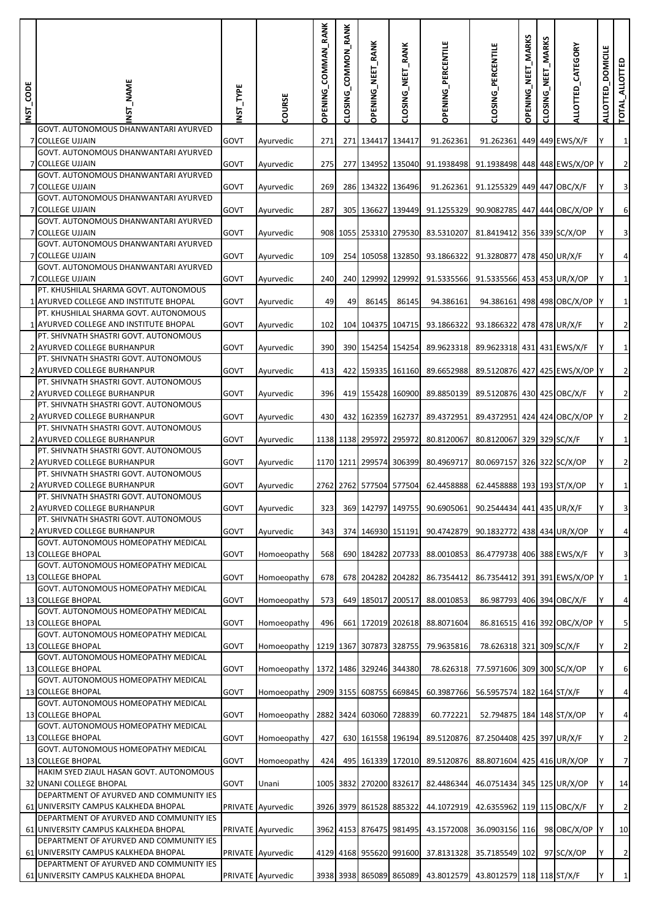| INST_CODE | <b>ST_NAME</b>                                                                                      | NST_TYPE | COURSE            | <b>OPENING_COMMAN_RANK</b> | CLOSING_COMMON_RANK | <b>OPENING_NEET_RANK</b> | CLOSING_NEET_RANK | <b>OPENING_PERCENTILE</b>                                    | CLOSING_PERCENTILE                    | OPENING_NEET_MARKS | _MARKS<br>CLOSING_NEET | ALLOTTED_CATEGORY            | <b>DOMICILE</b><br><b>ALLOTTED</b> | TOTAL_ALLOTTED            |
|-----------|-----------------------------------------------------------------------------------------------------|----------|-------------------|----------------------------|---------------------|--------------------------|-------------------|--------------------------------------------------------------|---------------------------------------|--------------------|------------------------|------------------------------|------------------------------------|---------------------------|
|           | GOVT. AUTONOMOUS DHANWANTARI AYURVED<br>7 COLLEGE UJJAIN                                            | GOVT     | Ayurvedic         | 271                        |                     | 271 134417 134417        |                   | 91.262361                                                    | 91.262361 449 449 EWS/X/F             |                    |                        |                              |                                    | $\mathbf{1}$              |
|           | GOVT. AUTONOMOUS DHANWANTARI AYURVED<br>7 COLLEGE UJJAIN                                            | GOVT     | Ayurvedic         | 275                        |                     | 277 134952 135040        |                   | 91.1938498                                                   | 91.1938498 448 448 EWS/X/OP Y         |                    |                        |                              |                                    | $\overline{2}$            |
|           | GOVT. AUTONOMOUS DHANWANTARI AYURVED<br>7 COLLEGE UJJAIN                                            | GOVT     | Ayurvedic         | 269                        |                     | 286 134322 136496        |                   | 91.262361                                                    | 91.1255329 449 447 OBC/X/F            |                    |                        |                              |                                    | $\ensuremath{\mathsf{3}}$ |
|           | GOVT. AUTONOMOUS DHANWANTARI AYURVED<br>7 COLLEGE UJJAIN                                            | GOVT     | Ayurvedic         | <b>287</b>                 |                     | 305 136627 139449        |                   | 91.1255329                                                   | 90.9082785 447 444 OBC/X/OP Y         |                    |                        |                              |                                    | 6                         |
|           | GOVT. AUTONOMOUS DHANWANTARI AYURVED<br>7 COLLEGE UJJAIN                                            | GOVT     | Ayurvedic         |                            |                     | 908 1055 253310 279530   |                   | 83.5310207                                                   | 81.8419412 356 339 SC/X/OP            |                    |                        |                              |                                    | $\ensuremath{\mathsf{3}}$ |
|           | GOVT. AUTONOMOUS DHANWANTARI AYURVED<br>7 COLLEGE UJJAIN                                            | GOVT     | Ayurvedic         | 109                        |                     | 254 105058 132850        |                   | 93.1866322                                                   | 91.3280877 478 450 UR/X/F             |                    |                        |                              |                                    | $\pmb{4}$                 |
|           | GOVT. AUTONOMOUS DHANWANTARI AYURVED<br>7 COLLEGE UJJAIN                                            | GOVT     | Ayurvedic         | 240                        |                     | 240 129992 129992        |                   |                                                              | 91.5335566 91.5335566 453 453 UR/X/OP |                    |                        |                              |                                    | $\mathbf 1$               |
|           | PT. KHUSHILAL SHARMA GOVT. AUTONOMOUS<br>1 AYURVED COLLEGE AND INSTITUTE BHOPAL                     |          |                   |                            |                     |                          |                   | 94.386161                                                    |                                       |                    |                        | 94.386161 498 498 OBC/X/OP Y |                                    | $\mathbf{1}$              |
|           | PT. KHUSHILAL SHARMA GOVT. AUTONOMOUS                                                               | GOVT     | Ayurvedic         | 49                         | 49                  | 86145                    | 86145             |                                                              |                                       |                    |                        |                              |                                    |                           |
|           | 1 AYURVED COLLEGE AND INSTITUTE BHOPAL<br>PT. SHIVNATH SHASTRI GOVT. AUTONOMOUS                     | GOVT     | Ayurvedic         | 102                        |                     | 104 104375 104715        |                   | 93.1866322                                                   | 93.1866322 478 478 UR/X/F             |                    |                        |                              |                                    | $\overline{2}$            |
|           | 2 AYURVED COLLEGE BURHANPUR<br>PT. SHIVNATH SHASTRI GOVT. AUTONOMOUS                                | GOVT     | Ayurvedic         | 390                        |                     | 390 154254 154254        |                   | 89.9623318                                                   | 89.9623318 431 431 EWS/X/F            |                    |                        |                              |                                    | $\mathbf{1}$              |
|           | 2 AYURVED COLLEGE BURHANPUR                                                                         | GOVT     | Ayurvedic         | 413                        |                     |                          |                   | 422 159335 161160 89.6652988                                 | 89.5120876 427 425 EWS/X/OP Y         |                    |                        |                              |                                    | $\overline{2}$            |
|           | PT. SHIVNATH SHASTRI GOVT. AUTONOMOUS<br>2 AYURVED COLLEGE BURHANPUR                                | GOVT     | Ayurvedic         | 396                        |                     | 419 155428 160900        |                   | 89.8850139                                                   | 89.5120876 430 425 OBC/X/F            |                    |                        |                              |                                    | $\overline{2}$            |
|           | PT. SHIVNATH SHASTRI GOVT. AUTONOMOUS<br>2 AYURVED COLLEGE BURHANPUR                                | GOVT     | Ayurvedic         | 430                        |                     | 432 162359 162737        |                   | 89.4372951                                                   | 89.4372951 424 424 OBC/X/OP           |                    |                        |                              |                                    | $\overline{2}$            |
|           | PT. SHIVNATH SHASTRI GOVT. AUTONOMOUS<br>2 AYURVED COLLEGE BURHANPUR                                | GOVT     | Ayurvedic         |                            |                     | 1138 1138 295972         | 295972            | 80.8120067                                                   | 80.8120067 329 329 SC/X/F             |                    |                        |                              |                                    | $\mathbf{1}$              |
|           | PT. SHIVNATH SHASTRI GOVT. AUTONOMOUS                                                               |          |                   |                            |                     |                          |                   |                                                              |                                       |                    |                        |                              |                                    |                           |
|           | 2 AYURVED COLLEGE BURHANPUR<br>PT. SHIVNATH SHASTRI GOVT. AUTONOMOUS                                | GOVT     | Ayurvedic         |                            |                     | 1170 1211 299574 306399  |                   | 80.4969717                                                   | 80.0697157 326 322 SC/X/OP            |                    |                        |                              |                                    | $\overline{2}$            |
|           | 2 AYURVED COLLEGE BURHANPUR<br>PT. SHIVNATH SHASTRI GOVT. AUTONOMOUS<br>2 AYURVED COLLEGE BURHANPUR | GOVT     | Ayurvedic         |                            |                     | 2762 2762 577504 577504  |                   | 62.4458888                                                   | 62.4458888 193 193 ST/X/OP            |                    |                        |                              |                                    | $\mathbf{1}$              |
|           | PT. SHIVNATH SHASTRI GOVT. AUTONOMOUS                                                               | GOVT     | Ayurvedic         |                            |                     |                          |                   | 323 369 142797 149755 90.6905061 90.2544434 441 435 UR/X/F   |                                       |                    |                        |                              |                                    | 3                         |
|           | 2 AYURVED COLLEGE BURHANPUR<br>GOVT. AUTONOMOUS HOMEOPATHY MEDICAL                                  | GOVT     | Ayurvedic         | 343                        |                     | 374 146930 151191        |                   | 90.4742879                                                   | 90.1832772 438 434 UR/X/OP            |                    |                        |                              |                                    | $\overline{\mathbf{4}}$   |
|           | 13 COLLEGE BHOPAL<br>GOVT. AUTONOMOUS HOMEOPATHY MEDICAL                                            | GOVT     | Homoeopathy       | 568                        |                     | 690 184282 207733        |                   | 88.0010853                                                   | 86.4779738 406 388 EWS/X/F            |                    |                        |                              |                                    | $\overline{\mathbf{3}}$   |
|           | 13 COLLEGE BHOPAL<br>GOVT. AUTONOMOUS HOMEOPATHY MEDICAL                                            | GOVT     | Homoeopathy       | 678                        |                     | 678 204282 204282        |                   | 86.7354412                                                   | 86.7354412 391 391 EWS/X/OP Y         |                    |                        |                              |                                    | $\mathbf 1$               |
|           | 13 COLLEGE BHOPAL                                                                                   | GOVT     | Homoeopathy       | 573                        |                     | 649 185017 200517        |                   | 88.0010853                                                   | 86.987793 406 394 OBC/X/F             |                    |                        |                              |                                    | $\overline{\mathbf{4}}$   |
|           | GOVT. AUTONOMOUS HOMEOPATHY MEDICAL<br><b>13 COLLEGE BHOPAL</b>                                     | GOVT     | Homoeopathy       | 496                        |                     | 661 172019 202618        |                   | 88.8071604                                                   |                                       |                    |                        | 86.816515 416 392 OBC/X/OP Y |                                    | $\overline{\mathbf{5}}$   |
|           | GOVT. AUTONOMOUS HOMEOPATHY MEDICAL<br>13 COLLEGE BHOPAL                                            | GOVT     | Homoeopathy       |                            |                     | 1219 1367 307873 328755  |                   | 79.9635816                                                   | 78.626318 321 309 SC/X/F              |                    |                        |                              |                                    | $\overline{2}$            |
|           | GOVT. AUTONOMOUS HOMEOPATHY MEDICAL<br>13 COLLEGE BHOPAL                                            | GOVT     | Homoeopathy       |                            |                     | 1372 1486 329246 344380  |                   | 78.626318                                                    | 77.5971606 309 300 SC/X/OP            |                    |                        |                              |                                    | $\,6\,$                   |
|           | GOVT. AUTONOMOUS HOMEOPATHY MEDICAL                                                                 |          |                   |                            |                     |                          |                   |                                                              |                                       |                    |                        |                              |                                    |                           |
|           | 13 COLLEGE BHOPAL<br>GOVT. AUTONOMOUS HOMEOPATHY MEDICAL                                            | GOVT     | Homoeopathy       |                            |                     | 2909 3155 608755 669845  |                   | 60.3987766                                                   | 56.5957574 182 164 ST/X/F             |                    |                        |                              |                                    | $\overline{\mathbf{4}}$   |
|           | <b>13 COLLEGE BHOPAL</b><br>GOVT. AUTONOMOUS HOMEOPATHY MEDICAL                                     | GOVT     | Homoeopathy       |                            |                     | 2882 3424 603060 728839  |                   | 60.772221                                                    | 52.794875 184 148 ST/X/OP             |                    |                        |                              |                                    | $\pmb{4}$                 |
|           | <b>13 COLLEGE BHOPAL</b><br>GOVT. AUTONOMOUS HOMEOPATHY MEDICAL                                     | GOVT     | Homoeopathy       | 427                        |                     |                          |                   | 630 161558 196194 89.5120876                                 | 87.2504408 425 397 UR/X/F             |                    |                        |                              |                                    | $\overline{2}$            |
|           | <b>13 COLLEGE BHOPAL</b>                                                                            | GOVT     | Homoeopathy       | 424                        |                     |                          |                   | 495 161339 172010 89.5120876                                 | 88.8071604 425 416 UR/X/OP            |                    |                        |                              |                                    | $\overline{7}$            |
|           | HAKIM SYED ZIAUL HASAN GOVT. AUTONOMOUS<br>32 UNANI COLLEGE BHOPAL                                  | GOVT     | Unani             |                            |                     | 1005 3832 270200 832617  |                   | 82.4486344                                                   | 46.0751434 345 125 UR/X/OP            |                    |                        |                              |                                    | 14                        |
|           | DEPARTMENT OF AYURVED AND COMMUNITY IES<br>61 UNIVERSITY CAMPUS KALKHEDA BHOPAL                     |          | PRIVATE Ayurvedic |                            |                     | 3926 3979 861528 885322  |                   | 44.1072919                                                   | 42.6355962 119 115 OBC/X/F            |                    |                        |                              |                                    | $\overline{2}$            |
|           | DEPARTMENT OF AYURVED AND COMMUNITY IES<br>61 UNIVERSITY CAMPUS KALKHEDA BHOPAL                     |          | PRIVATE Ayurvedic |                            |                     | 3962 4153 876475 981495  |                   | 43.1572008                                                   | 36.0903156 116 98 OBC/X/OP            |                    |                        |                              |                                    | 10                        |
|           | DEPARTMENT OF AYURVED AND COMMUNITY IES<br>61 UNIVERSITY CAMPUS KALKHEDA BHOPAL                     |          | PRIVATE Ayurvedic |                            |                     | 4129 4168 955620 991600  |                   | 37.8131328                                                   | 35.7185549 102                        |                    |                        | 97 SC/X/OP                   |                                    | $\overline{2}$            |
|           | DEPARTMENT OF AYURVED AND COMMUNITY IES                                                             |          |                   |                            |                     |                          |                   |                                                              |                                       |                    |                        |                              |                                    |                           |
|           | 61 UNIVERSITY CAMPUS KALKHEDA BHOPAL                                                                |          | PRIVATE Ayurvedic |                            |                     |                          |                   | 3938 3938 865089 865089 43.8012579 43.8012579 118 118 ST/X/F |                                       |                    |                        |                              |                                    | $\mathbf 1$               |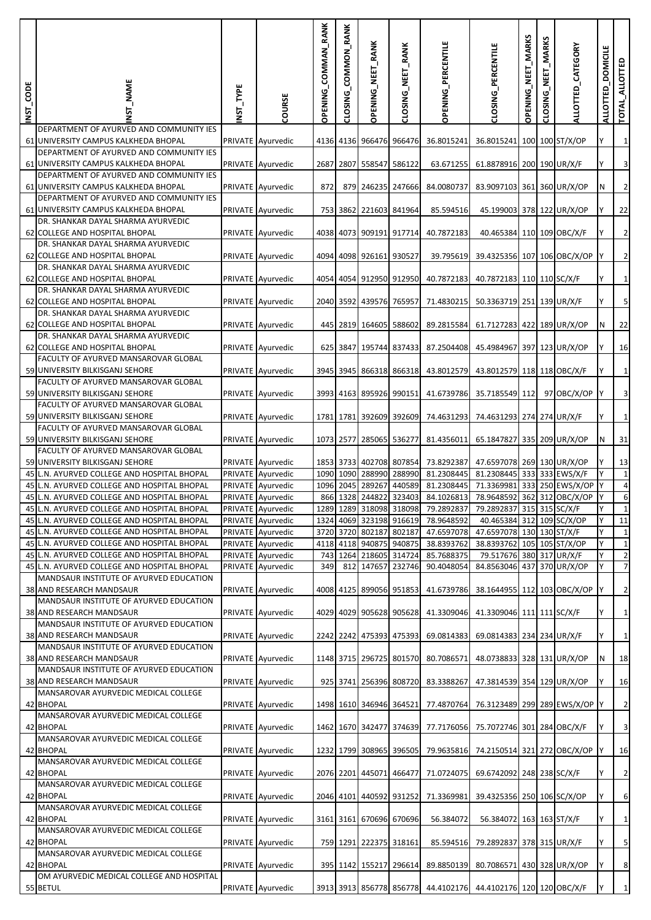| <b>INST_CODE</b> | <b>NAME</b>                                                                                | INST_TYPE | COURSE                                 | <b>OPENING_COMMAN_RANK</b> | CLOSING_COMMON_RANK | <b><i>OPENING_NEET_RANK</i></b> | CLOSING_NEET_RANK       | OPENING_PERCENTILE                                            | CLOSING_PERCENTILE                                       | OPENING_NEET_MARKS | NEET_MARKS<br>CLOSING | ALLOTTED_CATEGORY  | <b>DOMICILE</b><br><b>ALLOTTED</b> | TOTAL_ALLOTTED                   |
|------------------|--------------------------------------------------------------------------------------------|-----------|----------------------------------------|----------------------------|---------------------|---------------------------------|-------------------------|---------------------------------------------------------------|----------------------------------------------------------|--------------------|-----------------------|--------------------|------------------------------------|----------------------------------|
|                  | DEPARTMENT OF AYURVED AND COMMUNITY IES<br>61 UNIVERSITY CAMPUS KALKHEDA BHOPAL            |           | PRIVATE Ayurvedic                      |                            |                     |                                 | 4136 4136 966476 966476 | 36.8015241                                                    | 36.8015241 100 100 ST/X/OP                               |                    |                       |                    |                                    | $\mathbf 1$                      |
|                  | DEPARTMENT OF AYURVED AND COMMUNITY IES                                                    |           |                                        |                            |                     |                                 |                         |                                                               |                                                          |                    |                       |                    |                                    |                                  |
|                  | 61 UNIVERSITY CAMPUS KALKHEDA BHOPAL<br>DEPARTMENT OF AYURVED AND COMMUNITY IES            |           | PRIVATE Ayurvedic                      |                            |                     | 2687 2807 558547 586122         |                         | 63.671255                                                     | 61.8878916 200 190 UR/X/F                                |                    |                       |                    |                                    | $\overline{\mathbf{3}}$          |
|                  | 61 UNIVERSITY CAMPUS KALKHEDA BHOPAL<br>DEPARTMENT OF AYURVED AND COMMUNITY IES            |           | PRIVATE Ayurvedic                      | 872                        |                     |                                 | 879 246235 247666       | 84.0080737                                                    | 83.9097103 361 360 UR/X/OP                               |                    |                       |                    | N                                  | $\overline{2}$                   |
|                  | 61 UNIVERSITY CAMPUS KALKHEDA BHOPAL                                                       |           | PRIVATE Ayurvedic                      |                            |                     |                                 | 753 3862 221603 841964  | 85.594516                                                     | 45.199003 378 122 UR/X/OP                                |                    |                       |                    |                                    | 22                               |
|                  | DR. SHANKAR DAYAL SHARMA AYURVEDIC<br>62 COLLEGE AND HOSPITAL BHOPAL                       |           | PRIVATE Ayurvedic                      |                            |                     |                                 | 4038 4073 909191 917714 | 40.7872183                                                    | 40.465384 110 109 OBC/X/F                                |                    |                       |                    |                                    | $\overline{2}$                   |
|                  | DR. SHANKAR DAYAL SHARMA AYURVEDIC<br>62 COLLEGE AND HOSPITAL BHOPAL                       |           |                                        |                            |                     | 4094 4098 926161 930527         |                         | 39.795619                                                     | 39.4325356 107 106 OBC/X/OP Y                            |                    |                       |                    |                                    | $\overline{2}$                   |
|                  | DR. SHANKAR DAYAL SHARMA AYURVEDIC                                                         |           | PRIVATE Ayurvedic                      |                            |                     |                                 |                         |                                                               |                                                          |                    |                       |                    |                                    |                                  |
|                  | 62 COLLEGE AND HOSPITAL BHOPAL<br>DR. SHANKAR DAYAL SHARMA AYURVEDIC                       |           | PRIVATE Ayurvedic                      |                            |                     |                                 |                         | 4054 4054 912950 912950 40.7872183 40.7872183 110 110 SC/X/F  |                                                          |                    |                       |                    |                                    | $\mathbf 1$                      |
|                  | 62 COLLEGE AND HOSPITAL BHOPAL<br>DR. SHANKAR DAYAL SHARMA AYURVEDIC                       |           | PRIVATE Ayurvedic                      |                            |                     |                                 | 2040 3592 439576 765957 | 71.4830215                                                    | 50.3363719 251 139 UR/X/F                                |                    |                       |                    |                                    | 5                                |
|                  | 62 COLLEGE AND HOSPITAL BHOPAL                                                             |           | PRIVATE Ayurvedic                      |                            |                     |                                 | 445 2819 164605 588602  | 89.2815584                                                    | 61.7127283 422 189 UR/X/OP                               |                    |                       |                    | N                                  | 22                               |
|                  | DR. SHANKAR DAYAL SHARMA AYURVEDIC<br>62 COLLEGE AND HOSPITAL BHOPAL                       |           | PRIVATE Ayurvedic                      |                            |                     |                                 | 625 3847 195744 837433  | 87.2504408                                                    | 45.4984967 397 123 UR/X/OP                               |                    |                       |                    |                                    | 16                               |
|                  | FACULTY OF AYURVED MANSAROVAR GLOBAL                                                       |           |                                        |                            |                     |                                 |                         |                                                               |                                                          |                    |                       |                    |                                    |                                  |
|                  | 59 UNIVERSITY BILKISGANJ SEHORE<br>FACULTY OF AYURVED MANSAROVAR GLOBAL                    |           | PRIVATE Ayurvedic                      |                            |                     |                                 |                         | 3945 3945 866318 866318 43.8012579 43.8012579 118 118 OBC/X/F |                                                          |                    |                       |                    |                                    | $\mathbf 1$                      |
|                  | 59 UNIVERSITY BILKISGANJ SEHORE<br>FACULTY OF AYURVED MANSAROVAR GLOBAL                    |           | PRIVATE Ayurvedic                      |                            |                     |                                 |                         | 3993 4163 895926 990151 41.6739786                            | 35.7185549 112 97 OBC/X/OP Y                             |                    |                       |                    |                                    | $\overline{\mathbf{3}}$          |
|                  | 59 UNIVERSITY BILKISGANJ SEHORE                                                            |           | PRIVATE Ayurvedic                      |                            |                     |                                 | 1781 1781 392609 392609 | 74.4631293                                                    | 74.4631293 274 274 UR/X/F                                |                    |                       |                    |                                    | $\mathbf 1$                      |
|                  | FACULTY OF AYURVED MANSAROVAR GLOBAL<br>59 UNIVERSITY BILKISGANJ SEHORE                    |           | PRIVATE Ayurvedic                      |                            |                     |                                 | 1073 2577 285065 536277 | 81.4356011                                                    | 65.1847827 335 209 UR/X/OP                               |                    |                       |                    | N                                  | 31                               |
|                  | FACULTY OF AYURVED MANSAROVAR GLOBAL<br>59 UNIVERSITY BILKISGANJ SEHORE                    |           | PRIVATE Ayurvedic                      |                            |                     |                                 | 1853 3733 402708 807854 | 73.8292387                                                    | 47.6597078 269 130 UR/X/OP                               |                    |                       |                    |                                    | 13                               |
|                  | 45 L.N. AYURVED COLLEGE AND HOSPITAL BHOPAL                                                |           | PRIVATE Ayurvedic                      |                            |                     |                                 | 1090 1090 288990 288990 | 81.2308445                                                    | 81.2308445 333 333 EWS/X/F                               |                    |                       |                    |                                    | $\mathbf 1$                      |
|                  | 45 L.N. AYURVED COLLEGE AND HOSPITAL BHOPAL                                                |           | PRIVATE Ayurvedic                      |                            | 1096 2045           | 289267                          | 440589                  | 81.2308445                                                    | 71.3369981                                               |                    |                       | 333 250 EWS/X/OP Y |                                    | $\overline{a}$                   |
|                  | 45 L.N. AYURVED COLLEGE AND HOSPITAL BHOPAL<br>45 L.N. AYURVED COLLEGE AND HOSPITAL BHOPAL |           | PRIVATE Ayurvedic<br>PRIVATE Ayurvedic |                            | 866 1328            | 244822                          | 323403                  | 84.1026813<br>1289 1289 318098 318098 79.2892837              | 78.9648592 362 312 OBC/X/OP<br>79.2892837 315 315 SC/X/F |                    |                       |                    |                                    | $\,6\,$<br>$\mathbf{1}$          |
|                  | 45 L.N. AYURVED COLLEGE AND HOSPITAL BHOPAL                                                |           | <b>PRIVATE</b> Ayurvedic               |                            |                     |                                 |                         | 1324 4069 323198 916619 78.9648592                            | 40.465384 312 109 SC/X/OP                                |                    |                       |                    | IY.                                | 11                               |
|                  | 45 L.N. AYURVED COLLEGE AND HOSPITAL BHOPAL                                                |           | PRIVATE Ayurvedic                      |                            |                     | 3720 3720 802187 802187         |                         | 47.6597078                                                    | 47.6597078 130 130 ST/X/F                                |                    |                       |                    | Y                                  | $\mathbf{1}$                     |
|                  | 45 L.N. AYURVED COLLEGE AND HOSPITAL BHOPAL                                                |           | PRIVATE Ayurvedic                      |                            |                     | 4118 4118 940875 940875         |                         | 38.8393762                                                    | 38.8393762 105 105 ST/X/OP                               |                    |                       |                    | Y                                  | $\mathbf{1}$                     |
|                  | 45 L.N. AYURVED COLLEGE AND HOSPITAL BHOPAL<br>45 L.N. AYURVED COLLEGE AND HOSPITAL BHOPAL |           | PRIVATE Ayurvedic<br>PRIVATE Ayurvedic | 349                        |                     | 812 147657 232746               | 743 1264 218605 314724  | 85.7688375<br>90.4048054                                      | 79.517676 380 317 UR/X/F<br>84.8563046 437 370 UR/X/OP   |                    |                       |                    | Y                                  | $\overline{2}$<br>$\overline{7}$ |
|                  | MANDSAUR INSTITUTE OF AYURVED EDUCATION                                                    |           |                                        |                            |                     |                                 |                         |                                                               |                                                          |                    |                       |                    |                                    |                                  |
|                  | 38 AND RESEARCH MANDSAUR<br>MANDSAUR INSTITUTE OF AYURVED EDUCATION                        |           | PRIVATE Ayurvedic                      |                            |                     |                                 | 4008 4125 899056 951853 | 41.6739786                                                    | 38.1644955 112 103 OBC/X/OP Y                            |                    |                       |                    |                                    | $\overline{2}$                   |
|                  | 38 AND RESEARCH MANDSAUR                                                                   |           | PRIVATE Ayurvedic                      |                            |                     |                                 | 4029 4029 905628 905628 | 41.3309046                                                    | 41.3309046 111 111 SC/X/F                                |                    |                       |                    |                                    | $\mathbf 1$                      |
|                  | MANDSAUR INSTITUTE OF AYURVED EDUCATION<br>38 AND RESEARCH MANDSAUR                        |           | PRIVATE Ayurvedic                      |                            |                     |                                 | 2242 2242 475393 475393 | 69.0814383                                                    | 69.0814383 234 234 UR/X/F                                |                    |                       |                    | Y                                  | $\mathbf{1}$                     |
|                  | MANDSAUR INSTITUTE OF AYURVED EDUCATION                                                    |           | PRIVATE Ayurvedic                      |                            |                     |                                 | 1148 3715 296725 801570 | 80.7086571                                                    | 48.0738833 328 131 UR/X/OP                               |                    |                       |                    | N                                  | 18                               |
|                  | 38 AND RESEARCH MANDSAUR<br>MANDSAUR INSTITUTE OF AYURVED EDUCATION                        |           |                                        |                            |                     |                                 |                         |                                                               |                                                          |                    |                       |                    |                                    |                                  |
|                  | 38 AND RESEARCH MANDSAUR<br>MANSAROVAR AYURVEDIC MEDICAL COLLEGE                           |           | PRIVATE Ayurvedic                      |                            |                     |                                 | 925 3741 256396 808720  | 83.3388267                                                    | 47.3814539 354 129 UR/X/OP                               |                    |                       |                    |                                    | 16                               |
|                  | 42 BHOPAL                                                                                  |           | PRIVATE Ayurvedic                      |                            |                     | 1498 1610 346946 364521         |                         | 77.4870764                                                    | 76.3123489 299 289 EWS/X/OP Y                            |                    |                       |                    |                                    | $\overline{2}$                   |
|                  | MANSAROVAR AYURVEDIC MEDICAL COLLEGE<br>42 BHOPAL                                          |           | PRIVATE Ayurvedic                      |                            |                     |                                 | 1462 1670 342477 374639 | 77.7176056                                                    | 75.7072746 301 284 OBC/X/F                               |                    |                       |                    | lY.                                | $\overline{\mathbf{3}}$          |
|                  | MANSAROVAR AYURVEDIC MEDICAL COLLEGE                                                       |           |                                        |                            |                     |                                 |                         |                                                               |                                                          |                    |                       |                    |                                    |                                  |
|                  | 42 BHOPAL<br>MANSAROVAR AYURVEDIC MEDICAL COLLEGE                                          |           | PRIVATE Ayurvedic                      |                            |                     |                                 | 1232 1799 308965 396505 | 79.9635816                                                    | 74.2150514 321 272 OBC/X/OP                              |                    |                       |                    |                                    | 16                               |
|                  | 42 BHOPAL<br>MANSAROVAR AYURVEDIC MEDICAL COLLEGE                                          |           | PRIVATE Ayurvedic                      |                            |                     |                                 | 2076 2201 445071 466477 | 71.0724075                                                    | 69.6742092 248 238 SC/X/F                                |                    |                       |                    |                                    | $\overline{2}$                   |
|                  | 42 BHOPAL                                                                                  |           | PRIVATE Ayurvedic                      |                            |                     |                                 | 2046 4101 440592 931252 | 71.3369981                                                    | 39.4325356 250 106 SC/X/OP                               |                    |                       |                    |                                    | $\,6\,$                          |
|                  | MANSAROVAR AYURVEDIC MEDICAL COLLEGE<br>42 BHOPAL                                          |           | PRIVATE Ayurvedic                      |                            |                     | 3161 3161 670696 670696         |                         | 56.384072                                                     | 56.384072 163 163 ST/X/F                                 |                    |                       |                    | Y                                  | $\mathbf 1$                      |
|                  | MANSAROVAR AYURVEDIC MEDICAL COLLEGE<br>42 BHOPAL                                          |           | PRIVATE Ayurvedic                      |                            |                     | 759 1291 222375 318161          |                         | 85.594516                                                     | 79.2892837 378 315 UR/X/F                                |                    |                       |                    |                                    | $\overline{\mathbf{5}}$          |
|                  | MANSAROVAR AYURVEDIC MEDICAL COLLEGE                                                       |           |                                        |                            |                     |                                 |                         |                                                               |                                                          |                    |                       |                    |                                    |                                  |
|                  | 42 BHOPAL<br>OM AYURVEDIC MEDICAL COLLEGE AND HOSPITAL                                     |           | PRIVATE Ayurvedic                      |                            |                     |                                 | 395 1142 155217 296614  | 89.8850139                                                    | 80.7086571 430 328 UR/X/OP                               |                    |                       |                    |                                    | $\bf 8$                          |
|                  | 55 BETUL                                                                                   |           | PRIVATE Ayurvedic                      |                            |                     |                                 |                         | 3913 3913 856778 856778 44.4102176 44.4102176 120 120 OBC/X/F |                                                          |                    |                       |                    |                                    | $\mathbf 1$                      |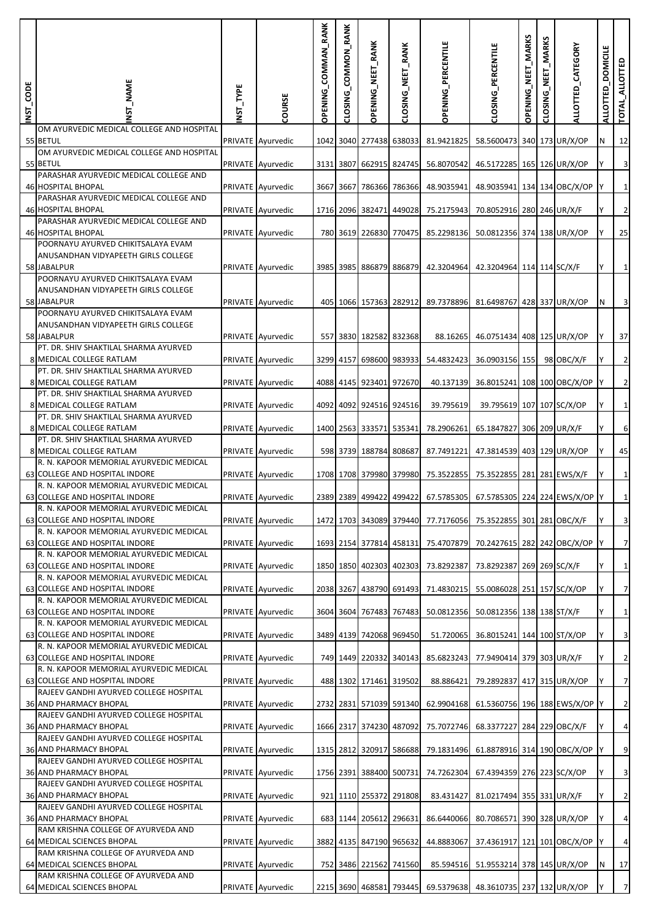| <b>INST_CODE</b> | NST_NAME                                                                                                                       | INST_TYPE | COURSE            | OPENING_COMMAN_RANK | CLOSING_COMMON_RANK | OPENING_NEET_RANK       | CLOSING_NEET_RANK | OPENING_PERCENTILE                 | CLOSING_PERCENTILE                                               | OPENING_NEET_MARKS | <b>MARKS</b><br>NEET.<br>CLOSING | ALLOTTED_CATEGORY | <b>DOMICILE</b><br>ALLOTTED | TOTAL_ALLOTTED          |
|------------------|--------------------------------------------------------------------------------------------------------------------------------|-----------|-------------------|---------------------|---------------------|-------------------------|-------------------|------------------------------------|------------------------------------------------------------------|--------------------|----------------------------------|-------------------|-----------------------------|-------------------------|
|                  | OM AYURVEDIC MEDICAL COLLEGE AND HOSPITAL<br>55 BETUL                                                                          |           | PRIVATE Ayurvedic |                     |                     | 1042 3040 277438 638033 |                   | 81.9421825                         | 58.5600473 340 173 UR/X/OP                                       |                    |                                  |                   | N                           | 12                      |
|                  | OM AYURVEDIC MEDICAL COLLEGE AND HOSPITAL<br>55 BETUL                                                                          |           | PRIVATE Ayurvedic |                     |                     | 3131 3807 662915 824745 |                   | 56.8070542                         | 46.5172285 165 126 UR/X/OP                                       |                    |                                  |                   |                             | $\overline{\mathbf{3}}$ |
|                  | PARASHAR AYURVEDIC MEDICAL COLLEGE AND<br><b>46 HOSPITAL BHOPAL</b>                                                            |           | PRIVATE Ayurvedic |                     |                     | 3667 3667 786366 786366 |                   | 48.9035941                         | 48.9035941 134 134 OBC/X/OP                                      |                    |                                  |                   |                             | $\mathbf{1}$            |
|                  | PARASHAR AYURVEDIC MEDICAL COLLEGE AND<br><b>46 HOSPITAL BHOPAL</b>                                                            |           | PRIVATE Ayurvedic |                     |                     | 1716 2096 382471 449028 |                   | 75.2175943                         | 70.8052916 280 246 UR/X/F                                        |                    |                                  |                   |                             | $\overline{2}$          |
|                  | PARASHAR AYURVEDIC MEDICAL COLLEGE AND<br>46 HOSPITAL BHOPAL                                                                   |           | PRIVATE Ayurvedic |                     |                     | 780 3619 226830 770475  |                   | 85.2298136                         | 50.0812356 374 138 UR/X/OP                                       |                    |                                  |                   |                             | 25                      |
|                  | POORNAYU AYURVED CHIKITSALAYA EVAM<br>ANUSANDHAN VIDYAPEETH GIRLS COLLEGE<br>58 JABALPUR<br>POORNAYU AYURVED CHIKITSALAYA EVAM |           | PRIVATE Ayurvedic |                     |                     | 3985 3985 886879 886879 |                   | 42.3204964                         | 42.3204964 114 114 SC/X/F                                        |                    |                                  |                   |                             | $\mathbf 1$             |
|                  | ANUSANDHAN VIDYAPEETH GIRLS COLLEGE<br>58 JABALPUR<br>POORNAYU AYURVED CHIKITSALAYA EVAM                                       |           | PRIVATE Ayurvedic |                     |                     | 405 1066 157363 282912  |                   | 89.7378896                         | 81.6498767 428 337 UR/X/OP                                       |                    |                                  |                   | N                           | $\overline{\mathbf{3}}$ |
|                  | ANUSANDHAN VIDYAPEETH GIRLS COLLEGE<br>58 JABALPUR                                                                             |           | PRIVATE Ayurvedic |                     |                     | 557 3830 182582 832368  |                   | 88.16265                           | 46.0751434 408 125 UR/X/OP                                       |                    |                                  |                   |                             | 37                      |
|                  | PT. DR. SHIV SHAKTILAL SHARMA AYURVED<br>8 MEDICAL COLLEGE RATLAM                                                              |           | PRIVATE Ayurvedic |                     | 3299 4157           | 698600 983933           |                   | 54.4832423                         | 36.0903156 155                                                   |                    |                                  | 98 OBC/X/F        |                             | $\overline{2}$          |
|                  | PT. DR. SHIV SHAKTILAL SHARMA AYURVED<br>8 MEDICAL COLLEGE RATLAM                                                              |           | PRIVATE Ayurvedic |                     |                     | 4088 4145 923401 972670 |                   | 40.137139                          | 36.8015241 108 100 OBC/X/OP                                      |                    |                                  |                   |                             | $\overline{2}$          |
|                  | PT. DR. SHIV SHAKTILAL SHARMA AYURVED<br>8 MEDICAL COLLEGE RATLAM                                                              |           | PRIVATE Ayurvedic |                     |                     | 4092 4092 924516 924516 |                   | 39.795619                          | 39.795619 107 107 SC/X/OP                                        |                    |                                  |                   |                             | $\mathbf 1$             |
|                  | PT. DR. SHIV SHAKTILAL SHARMA AYURVED<br>8 MEDICAL COLLEGE RATLAM                                                              |           | PRIVATE Ayurvedic |                     |                     | 1400 2563 333571 535341 |                   | 78.2906261                         | 65.1847827 306 209 UR/X/F                                        |                    |                                  |                   |                             | 6                       |
|                  | PT. DR. SHIV SHAKTILAL SHARMA AYURVED<br>8 MEDICAL COLLEGE RATLAM                                                              |           | PRIVATE Ayurvedic |                     |                     | 598 3739 188784 808687  |                   | 87.7491221                         | 47.3814539 403 129 UR/X/OP                                       |                    |                                  |                   |                             | 45                      |
|                  | R. N. KAPOOR MEMORIAL AYURVEDIC MEDICAL<br>63 COLLEGE AND HOSPITAL INDORE                                                      |           | PRIVATE Ayurvedic |                     |                     | 1708 1708 379980 379980 |                   | 75.3522855                         | 75.3522855 281 281 EWS/X/F                                       |                    |                                  |                   |                             | 1                       |
|                  | R. N. KAPOOR MEMORIAL AYURVEDIC MEDICAL<br>63 COLLEGE AND HOSPITAL INDORE                                                      |           | PRIVATE Ayurvedic |                     |                     | 2389 2389 499422 499422 |                   |                                    | 67.5785305 67.5785305 224 224 EWS/X/OP Y                         |                    |                                  |                   |                             | $\mathbf{1}$            |
|                  | R. N. KAPOOR MEMORIAL AYURVEDIC MEDICAL<br>63 COLLEGE AND HOSPITAL INDORE                                                      |           | PRIVATE Ayurvedic |                     |                     |                         |                   |                                    | 1472 1703 343089 379440 77.7176056 75.3522855 301 281 OBC/X/F    |                    |                                  |                   |                             | $\overline{\mathbf{3}}$ |
|                  | R. N. KAPOOR MEMORIAL AYURVEDIC MEDICAL<br>63 COLLEGE AND HOSPITAL INDORE<br>R. N. KAPOOR MEMORIAL AYURVEDIC MEDICAL           |           | PRIVATE Ayurvedic |                     |                     |                         |                   |                                    | 1693 2154 377814 458131 75.4707879 70.2427615 282 242 OBC/X/OP   |                    |                                  |                   |                             | $\overline{7}$          |
|                  | 63 COLLEGE AND HOSPITAL INDORE<br>R. N. KAPOOR MEMORIAL AYURVEDIC MEDICAL                                                      |           | PRIVATE Ayurvedic |                     |                     |                         |                   | 1850 1850 402303 402303 73.8292387 | 73.8292387 269 269 SC/X/F                                        |                    |                                  |                   |                             | $1\overline{)}$         |
|                  | 63 COLLEGE AND HOSPITAL INDORE<br>R. N. KAPOOR MEMORIAL AYURVEDIC MEDICAL                                                      |           | PRIVATE Ayurvedic |                     |                     |                         |                   |                                    | 2038 3267 438790 691493 71.4830215 55.0086028 251 157 SC/X/OP    |                    |                                  |                   |                             | $\overline{7}$          |
|                  | 63 COLLEGE AND HOSPITAL INDORE                                                                                                 |           | PRIVATE Ayurvedic |                     |                     |                         |                   |                                    | 3604 3604 767483 767483 50.0812356 50.0812356 138 138 ST/X/F     |                    |                                  |                   |                             | $1\overline{)}$         |
|                  | R. N. KAPOOR MEMORIAL AYURVEDIC MEDICAL<br>63 COLLEGE AND HOSPITAL INDORE                                                      |           | PRIVATE Ayurvedic |                     |                     | 3489 4139 742068 969450 |                   |                                    | 51.720065 36.8015241 144 100 ST/X/OP                             |                    |                                  |                   |                             | $\overline{\mathbf{3}}$ |
|                  | R. N. KAPOOR MEMORIAL AYURVEDIC MEDICAL<br>63 COLLEGE AND HOSPITAL INDORE                                                      |           | PRIVATE Ayurvedic |                     |                     |                         |                   |                                    | 749 1449 220332 340143 85.6823243 77.9490414 379 303 UR/X/F      |                    |                                  |                   |                             | $\overline{2}$          |
|                  | R. N. KAPOOR MEMORIAL AYURVEDIC MEDICAL<br>63 COLLEGE AND HOSPITAL INDORE                                                      |           | PRIVATE Ayurvedic |                     |                     | 488 1302 171461 319502  |                   | 88.886421                          | 79.2892837 417 315 UR/X/OP                                       |                    |                                  |                   |                             | $\overline{7}$          |
|                  | RAJEEV GANDHI AYURVED COLLEGE HOSPITAL<br>36 AND PHARMACY BHOPAL                                                               |           | PRIVATE Ayurvedic |                     |                     |                         |                   |                                    | 2732 2831 571039 591340 62.9904168 61.5360756 196 188 EWS/X/OP Y |                    |                                  |                   |                             | $\overline{2}$          |
|                  | RAJEEV GANDHI AYURVED COLLEGE HOSPITAL<br>36 AND PHARMACY BHOPAL                                                               |           | PRIVATE Ayurvedic |                     |                     |                         |                   |                                    | 1666 2317 374230 487092 75.7072746 68.3377227 284 229 OBC/X/F    |                    |                                  |                   |                             | $\overline{4}$          |
|                  | RAJEEV GANDHI AYURVED COLLEGE HOSPITAL<br>36 AND PHARMACY BHOPAL                                                               |           | PRIVATE Ayurvedic |                     |                     |                         |                   |                                    | 1315 2812 320917 586688 79.1831496 61.8878916 314 190 OBC/X/OP   |                    |                                  |                   |                             | $\overline{9}$          |
|                  | RAJEEV GANDHI AYURVED COLLEGE HOSPITAL<br>36 AND PHARMACY BHOPAL                                                               |           | PRIVATE Ayurvedic |                     |                     |                         |                   | 1756 2391 388400 500731 74.7262304 | 67.4394359 276 223 SC/X/OP                                       |                    |                                  |                   |                             | $\overline{\mathbf{3}}$ |
|                  | RAJEEV GANDHI AYURVED COLLEGE HOSPITAL<br>36 AND PHARMACY BHOPAL                                                               |           | PRIVATE Ayurvedic |                     |                     | 921 1110 255372 291808  |                   |                                    | 83.431427 81.0217494 355 331 UR/X/F                              |                    |                                  |                   |                             | $\overline{2}$          |
|                  | RAJEEV GANDHI AYURVED COLLEGE HOSPITAL<br>36 AND PHARMACY BHOPAL                                                               |           | PRIVATE Ayurvedic |                     |                     | 683 1144 205612 296631  |                   |                                    | 86.6440066 80.7086571 390 328 UR/X/OP                            |                    |                                  |                   |                             | $\overline{4}$          |
|                  | RAM KRISHNA COLLEGE OF AYURVEDA AND<br>64 MEDICAL SCIENCES BHOPAL                                                              |           | PRIVATE Ayurvedic |                     |                     | 3882 4135 847190 965632 |                   |                                    | 44.8883067 37.4361917 121 101 OBC/X/OP                           |                    |                                  |                   |                             | $\overline{a}$          |
|                  | RAM KRISHNA COLLEGE OF AYURVEDA AND<br>64 MEDICAL SCIENCES BHOPAL<br>RAM KRISHNA COLLEGE OF AYURVEDA AND                       |           | PRIVATE Ayurvedic |                     |                     | 752 3486 221562 741560  |                   |                                    | 85.594516 51.9553214 378 145 UR/X/OP                             |                    |                                  |                   | N                           | 17                      |
|                  | 64 MEDICAL SCIENCES BHOPAL                                                                                                     |           | PRIVATE Ayurvedic |                     |                     |                         |                   |                                    | 2215 3690 468581 793445 69.5379638 48.3610735 237 132 UR/X/OP    |                    |                                  |                   |                             | $\overline{7}$          |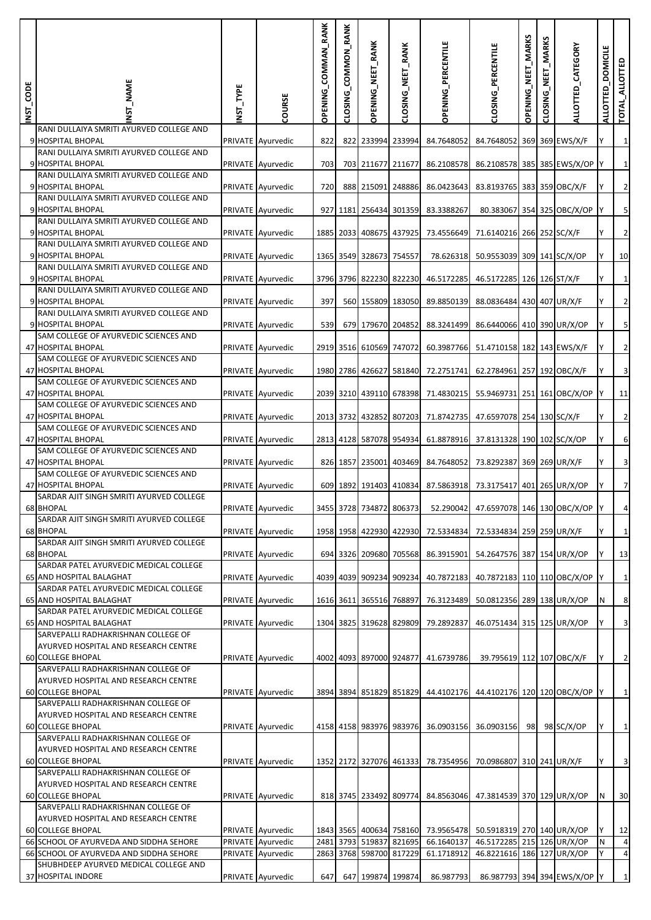| INST_CODE | <b>ST_NAME</b>                                                                                       | NST_TYPE | COURSE                                 | <b>OPENING_COMMAN_RANK</b> | CLOSING_COMMON_RANK | OPENING_NEET_RANK                      | CLOSING_NEET_RANK       | <b>OPENING_PERCENTILE</b>                                       | CLOSING_PERCENTILE                                       | OPENING_NEET_MARKS | _MARKS<br>CLOSING_NEET | ALLOTTED_CATEGORY            | <b>DOMICILE</b><br><b>ALLOTTED</b> | TOTAL_ALLOTTED                   |
|-----------|------------------------------------------------------------------------------------------------------|----------|----------------------------------------|----------------------------|---------------------|----------------------------------------|-------------------------|-----------------------------------------------------------------|----------------------------------------------------------|--------------------|------------------------|------------------------------|------------------------------------|----------------------------------|
|           | RANI DULLAIYA SMRITI AYURVED COLLEGE AND<br>9 HOSPITAL BHOPAL                                        |          | PRIVATE Ayurvedic                      | 822                        |                     |                                        | 822 233994 233994       | 84.7648052                                                      | 84.7648052 369 369 EWS/X/F                               |                    |                        |                              |                                    | $\mathbf 1$                      |
|           | RANI DULLAIYA SMRITI AYURVED COLLEGE AND<br>9 HOSPITAL BHOPAL                                        |          | PRIVATE Ayurvedic                      | 703                        |                     |                                        | 703 211677 211677       | 86.2108578                                                      | 86.2108578 385 385 EWS/X/OP Y                            |                    |                        |                              |                                    | $\mathbf{1}$                     |
|           | RANI DULLAIYA SMRITI AYURVED COLLEGE AND<br>9 HOSPITAL BHOPAL                                        |          | PRIVATE Ayurvedic                      | 720                        |                     |                                        | 888 215091 248886       | 86.0423643                                                      | 83.8193765 383 359 OBC/X/F                               |                    |                        |                              |                                    | $\overline{c}$                   |
|           | RANI DULLAIYA SMRITI AYURVED COLLEGE AND<br>9 HOSPITAL BHOPAL                                        |          | PRIVATE Ayurvedic                      |                            |                     |                                        |                         | 927 1181 256434 301359 83.3388267                               |                                                          |                    |                        | 80.383067 354 325 OBC/X/OP Y |                                    | $\mathsf S$                      |
|           | RANI DULLAIYA SMRITI AYURVED COLLEGE AND<br>9 HOSPITAL BHOPAL                                        |          | PRIVATE Ayurvedic                      |                            |                     |                                        | 1885 2033 408675 437925 |                                                                 | 73.4556649 71.6140216 266 252 SC/X/F                     |                    |                        |                              |                                    | $\overline{2}$                   |
|           | RANI DULLAIYA SMRITI AYURVED COLLEGE AND<br>9 HOSPITAL BHOPAL                                        |          | PRIVATE Ayurvedic                      |                            |                     | 1365 3549 328673 754557                |                         |                                                                 | 78.626318 50.9553039 309 141 SC/X/OP                     |                    |                        |                              |                                    | 10                               |
|           | RANI DULLAIYA SMRITI AYURVED COLLEGE AND<br>9 HOSPITAL BHOPAL                                        |          | PRIVATE Ayurvedic                      |                            |                     |                                        |                         | 3796 3796 822230 822230 46.5172285 46.5172285 126 126 ST/X/F    |                                                          |                    |                        |                              |                                    | $\mathbf{1}$                     |
|           | RANI DULLAIYA SMRITI AYURVED COLLEGE AND<br>9 HOSPITAL BHOPAL                                        |          | PRIVATE Ayurvedic                      | 397                        |                     |                                        |                         | 560 155809 183050 89.8850139 88.0836484 430 407 UR/X/F          |                                                          |                    |                        |                              |                                    | $\overline{2}$                   |
|           | RANI DULLAIYA SMRITI AYURVED COLLEGE AND<br>9 HOSPITAL BHOPAL                                        |          | PRIVATE Ayurvedic                      | 539                        |                     |                                        | 679 179670 204852       | 88.3241499                                                      | 86.6440066 410 390 UR/X/OP                               |                    |                        |                              |                                    | $\overline{\mathbf{5}}$          |
|           | SAM COLLEGE OF AYURVEDIC SCIENCES AND<br>47 HOSPITAL BHOPAL                                          |          | PRIVATE Ayurvedic                      |                            |                     |                                        | 2919 3516 610569 747072 |                                                                 | 60.3987766 51.4710158 182 143 EWS/X/F                    |                    |                        |                              |                                    | $\overline{2}$                   |
|           | SAM COLLEGE OF AYURVEDIC SCIENCES AND<br>47 HOSPITAL BHOPAL                                          |          | PRIVATE Ayurvedic                      |                            |                     |                                        |                         | 1980 2786 426627 581840 72.2751741                              | 62.2784961 257 192 OBC/X/F                               |                    |                        |                              |                                    | $\overline{\mathbf{3}}$          |
|           | SAM COLLEGE OF AYURVEDIC SCIENCES AND<br>47 HOSPITAL BHOPAL<br>SAM COLLEGE OF AYURVEDIC SCIENCES AND |          | PRIVATE Ayurvedic                      |                            |                     |                                        |                         | 2039 3210 439110 678398 71.4830215                              | 55.9469731 251 161 OBC/X/OP Y                            |                    |                        |                              |                                    | ${\bf 11}$                       |
|           | 47 HOSPITAL BHOPAL<br>SAM COLLEGE OF AYURVEDIC SCIENCES AND                                          |          | PRIVATE Ayurvedic                      |                            |                     |                                        |                         | 2013 3732 432852 807203 71.8742735                              | 47.6597078 254 130 SC/X/F                                |                    |                        |                              |                                    | $\overline{2}$                   |
|           | 47 HOSPITAL BHOPAL<br>SAM COLLEGE OF AYURVEDIC SCIENCES AND                                          |          | PRIVATE Ayurvedic                      |                            |                     |                                        | 2813 4128 587078 954934 |                                                                 | 61.8878916 37.8131328 190 102 SC/X/OP                    |                    |                        |                              |                                    | $\boldsymbol{6}$                 |
|           | 47 HOSPITAL BHOPAL<br>SAM COLLEGE OF AYURVEDIC SCIENCES AND                                          |          | PRIVATE Ayurvedic                      |                            |                     |                                        |                         | 826 1857 235001 403469 84.7648052                               | 73.8292387 369 269 UR/X/F                                |                    |                        |                              |                                    | $\overline{\mathbf{3}}$          |
|           | 47 HOSPITAL BHOPAL<br>SARDAR AJIT SINGH SMRITI AYURVED COLLEGE                                       |          | PRIVATE Ayurvedic                      |                            |                     |                                        | 609 1892 191403 410834  |                                                                 | 87.5863918 73.3175417 401 265 UR/X/OP                    |                    |                        |                              |                                    | $\overline{7}$                   |
|           | 68 BHOPAL<br>SARDAR AJIT SINGH SMRITI AYURVED COLLEGE                                                |          | PRIVATE Ayurvedic                      |                            |                     |                                        |                         | 3455 3728 734872 806373 52.290042 47.6597078 146 130 OBC/X/OP Y |                                                          |                    |                        |                              |                                    |                                  |
|           | 68 BHOPAL<br>SARDAR AJIT SINGH SMRITI AYURVED COLLEGE                                                |          | PRIVATE Ayurvedic                      |                            |                     |                                        |                         | 1958 1958 422930 422930 72.5334834                              | 72.5334834 259 259 UR/X/F                                |                    |                        |                              |                                    | $\mathbf{1}$                     |
|           | 68 BHOPAL<br>SARDAR PATEL AYURVEDIC MEDICAL COLLEGE                                                  |          | PRIVATE Ayurvedic                      |                            |                     |                                        | 694 3326 209680 705568  | 86.3915901                                                      | 54.2647576 387 154 UR/X/OP                               |                    |                        |                              |                                    | 13                               |
|           | 65 AND HOSPITAL BALAGHAT<br>SARDAR PATEL AYURVEDIC MEDICAL COLLEGE                                   |          | PRIVATE Ayurvedic                      |                            |                     |                                        | 4039 4039 909234 909234 | 40.7872183                                                      | 40.7872183 110 110 OBC/X/OP Y                            |                    |                        |                              |                                    | $\mathbf{1}$                     |
|           | 65 AND HOSPITAL BALAGHAT<br>SARDAR PATEL AYURVEDIC MEDICAL COLLEGE                                   |          | PRIVATE Ayurvedic                      |                            |                     | 1616 3611 365516 768897                |                         | 76.3123489                                                      | 50.0812356 289 138 UR/X/OP                               |                    |                        |                              | IN.                                | $\,8\,$                          |
|           | 65 AND HOSPITAL BALAGHAT<br>SARVEPALLI RADHAKRISHNAN COLLEGE OF                                      |          | PRIVATE Ayurvedic                      |                            |                     |                                        | 1304 3825 319628 829809 | 79.2892837                                                      | 46.0751434 315 125 UR/X/OP                               |                    |                        |                              |                                    | $\overline{\mathbf{3}}$          |
|           | AYURVED HOSPITAL AND RESEARCH CENTRE<br><b>60 COLLEGE BHOPAL</b>                                     |          | PRIVATE Ayurvedic                      |                            |                     |                                        | 4002 4093 897000 924877 | 41.6739786                                                      | 39.795619 112 107 OBC/X/F                                |                    |                        |                              | ΙY                                 | $\overline{2}$                   |
|           | SARVEPALLI RADHAKRISHNAN COLLEGE OF<br>AYURVED HOSPITAL AND RESEARCH CENTRE                          |          |                                        |                            |                     |                                        |                         |                                                                 |                                                          |                    |                        |                              |                                    |                                  |
|           | 60 COLLEGE BHOPAL<br>SARVEPALLI RADHAKRISHNAN COLLEGE OF                                             |          | PRIVATE Ayurvedic                      |                            |                     |                                        |                         | 3894 3894 851829 851829 44.4102176 44.4102176 120 120 OBC/X/OP  |                                                          |                    |                        |                              |                                    | $\mathbf 1$                      |
|           | AYURVED HOSPITAL AND RESEARCH CENTRE<br>60 COLLEGE BHOPAL                                            |          | PRIVATE Ayurvedic                      |                            |                     |                                        |                         | 4158 4158 983976 983976 36.0903156                              | 36.0903156                                               |                    |                        | 98 98 SC/X/OP                |                                    | $\mathbf 1$                      |
|           | SARVEPALLI RADHAKRISHNAN COLLEGE OF<br>AYURVED HOSPITAL AND RESEARCH CENTRE                          |          |                                        |                            |                     |                                        |                         |                                                                 |                                                          |                    |                        |                              |                                    |                                  |
|           | <b>60 COLLEGE BHOPAL</b><br>SARVEPALLI RADHAKRISHNAN COLLEGE OF                                      |          | PRIVATE Ayurvedic                      |                            |                     |                                        |                         | 1352 2172 327076 461333 78.7354956                              | 70.0986807 310 241 UR/X/F                                |                    |                        |                              | Y                                  | $\overline{\mathbf{3}}$          |
|           | AYURVED HOSPITAL AND RESEARCH CENTRE<br><b>60 COLLEGE BHOPAL</b>                                     |          | PRIVATE Ayurvedic                      |                            |                     |                                        |                         | 818 3745 233492 809774 84.8563046 47.3814539 370 129 UR/X/OP    |                                                          |                    |                        |                              | N                                  | 30                               |
|           | SARVEPALLI RADHAKRISHNAN COLLEGE OF<br>AYURVED HOSPITAL AND RESEARCH CENTRE                          |          |                                        |                            |                     |                                        |                         |                                                                 |                                                          |                    |                        |                              |                                    |                                  |
|           | <b>60 COLLEGE BHOPAL</b>                                                                             |          | PRIVATE Ayurvedic                      |                            |                     |                                        |                         | 1843 3565 400634 758160 73.9565478 50.5918319 270 140 UR/X/OP   |                                                          |                    |                        |                              | Y                                  | 12                               |
|           | 66 SCHOOL OF AYURVEDA AND SIDDHA SEHORE<br>66 SCHOOL OF AYURVEDA AND SIDDHA SEHORE                   |          | PRIVATE Ayurvedic<br>PRIVATE Ayurvedic | 2481                       |                     | 3793 519837<br>2863 3768 598700 817229 | 821695                  | 66.1640137<br>61.1718912                                        | 46.5172285 215 126 UR/X/OP<br>46.8221616 186 127 UR/X/OP |                    |                        |                              | N                                  | $\overline{4}$<br>$\overline{a}$ |
|           | SHUBHDEEP AYURVED MEDICAL COLLEGE AND                                                                |          |                                        |                            |                     |                                        |                         |                                                                 |                                                          |                    |                        |                              |                                    |                                  |
|           | 37 HOSPITAL INDORE                                                                                   |          | PRIVATE Ayurvedic                      | 647                        |                     |                                        | 647 199874 199874       | 86.987793                                                       |                                                          |                    |                        | 86.987793 394 394 EWS/X/OP Y |                                    | $\mathbf 1$                      |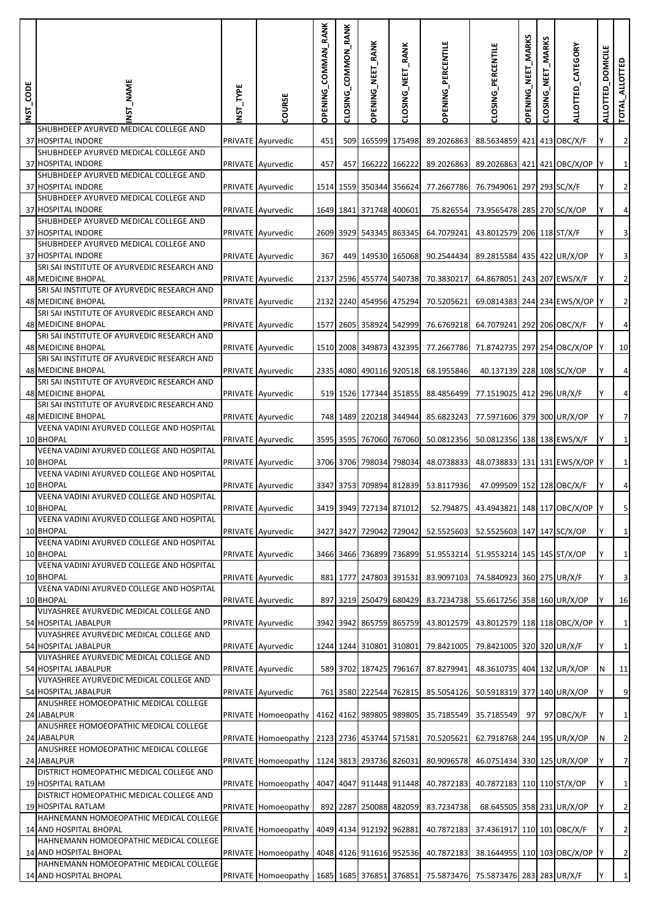| <b>INST_CODE</b> | NST_NAME                                                                 | INST_TYPE | COURSE                                                                                           | <b>OPENING_COMMAN_RANK</b> | CLOSING_COMMON_RANK | <b>OPENING_NEET_RANK</b> | CLOSING_NEET_RANK       | OPENING_PERCENTILE                                              | CLOSING_PERCENTILE                    | OPENING_NEET_MARKS | _MARKS<br><b>CLOSING_NEET</b> | ALLOTTED_CATEGORY | <b>DOMICILE</b><br><b>ALLOTTED</b> | TOTAL_ALLOTTED          |
|------------------|--------------------------------------------------------------------------|-----------|--------------------------------------------------------------------------------------------------|----------------------------|---------------------|--------------------------|-------------------------|-----------------------------------------------------------------|---------------------------------------|--------------------|-------------------------------|-------------------|------------------------------------|-------------------------|
|                  | SHUBHDEEP AYURVED MEDICAL COLLEGE AND                                    |           |                                                                                                  |                            |                     |                          |                         |                                                                 |                                       |                    |                               |                   |                                    |                         |
|                  | 37 HOSPITAL INDORE<br>SHUBHDEEP AYURVED MEDICAL COLLEGE AND              |           | PRIVATE Ayurvedic                                                                                | 451                        |                     |                          | 509 165599 175498       | 89.2026863                                                      | 88.5634859 421 413 OBC/X/F            |                    |                               |                   | Υ                                  | $\overline{2}$          |
|                  | 37 HOSPITAL INDORE<br>SHUBHDEEP AYURVED MEDICAL COLLEGE AND              |           | PRIVATE Ayurvedic                                                                                | 457                        |                     |                          | 457 166222 166222       | 89.2026863                                                      | 89.2026863 421 421 OBC/X/OP           |                    |                               |                   |                                    | $1\,$                   |
|                  | 37 HOSPITAL INDORE                                                       |           | PRIVATE Ayurvedic                                                                                |                            |                     |                          | 1514 1559 350344 356624 | 77.2667786                                                      | 76.7949061 297 293 SC/X/F             |                    |                               |                   | Y                                  | $\overline{2}$          |
|                  | SHUBHDEEP AYURVED MEDICAL COLLEGE AND<br>37 HOSPITAL INDORE              |           | PRIVATE Ayurvedic                                                                                |                            |                     | 1649 1841 371748 400601  |                         | 75.826554                                                       | 73.9565478 285 270 SC/X/OP            |                    |                               |                   | Y                                  | 4                       |
|                  | SHUBHDEEP AYURVED MEDICAL COLLEGE AND<br>37 HOSPITAL INDORE              |           | PRIVATE Ayurvedic                                                                                |                            |                     |                          | 2609 3929 543345 863345 | 64.7079241                                                      | 43.8012579 206 118 ST/X/F             |                    |                               |                   | Υ                                  | 3                       |
|                  | SHUBHDEEP AYURVED MEDICAL COLLEGE AND                                    |           |                                                                                                  |                            |                     |                          |                         |                                                                 |                                       |                    |                               |                   |                                    |                         |
|                  | 37 HOSPITAL INDORE<br>SRI SAI INSTITUTE OF AYURVEDIC RESEARCH AND        |           | PRIVATE Ayurvedic                                                                                | 367                        |                     |                          | 449 149530 165068       | 90.2544434                                                      | 89.2815584 435 422 UR/X/OP            |                    |                               |                   |                                    | $\mathsf 3$             |
|                  | 48 MEDICINE BHOPAL<br>SRI SAI INSTITUTE OF AYURVEDIC RESEARCH AND        |           | PRIVATE Ayurvedic                                                                                |                            |                     |                          |                         | 2137 2596 455774 540738 70.3830217                              | 64.8678051 243 207 EWS/X/F            |                    |                               |                   |                                    | $\overline{2}$          |
|                  | <b>48 MEDICINE BHOPAL</b>                                                |           | PRIVATE Ayurvedic                                                                                |                            |                     |                          | 2132 2240 454956 475294 | 70.5205621                                                      | 69.0814383 244 234 EWS/X/OP Y         |                    |                               |                   |                                    | $\overline{2}$          |
|                  | SRI SAI INSTITUTE OF AYURVEDIC RESEARCH AND<br><b>48 MEDICINE BHOPAL</b> |           | PRIVATE Ayurvedic                                                                                |                            |                     |                          | 1577 2605 358924 542999 | 76.6769218                                                      | 64.7079241 292 206 OBC/X/F            |                    |                               |                   | Y                                  | 4                       |
|                  | SRI SAI INSTITUTE OF AYURVEDIC RESEARCH AND<br>48 MEDICINE BHOPAL        |           | PRIVATE Ayurvedic                                                                                |                            |                     |                          | 1510 2008 349873 432395 | 77.2667786                                                      | 71.8742735 297 254 OBC/X/OP           |                    |                               |                   |                                    | 10                      |
|                  | SRI SAI INSTITUTE OF AYURVEDIC RESEARCH AND                              |           |                                                                                                  |                            |                     |                          |                         |                                                                 |                                       |                    |                               |                   |                                    |                         |
|                  | 48 MEDICINE BHOPAL<br>SRI SAI INSTITUTE OF AYURVEDIC RESEARCH AND        |           | PRIVATE Ayurvedic                                                                                |                            |                     |                          | 2335 4080 490116 920518 | 68.1955846                                                      | 40.137139 228 108 SC/X/OP             |                    |                               |                   |                                    | 4                       |
|                  | <b>48 MEDICINE BHOPAL</b><br>SRI SAI INSTITUTE OF AYURVEDIC RESEARCH AND |           | PRIVATE Ayurvedic                                                                                |                            |                     |                          | 519 1526 177344 351855  | 88.4856499                                                      | 77.1519025 412 296 UR/X/F             |                    |                               |                   |                                    | 4                       |
|                  | <b>48 MEDICINE BHOPAL</b>                                                |           | PRIVATE Ayurvedic                                                                                |                            |                     |                          | 748 1489 220218 344944  | 85.6823243                                                      | 77.5971606 379 300 UR/X/OP            |                    |                               |                   | Υ                                  | $\overline{7}$          |
|                  | VEENA VADINI AYURVED COLLEGE AND HOSPITAL<br>10 BHOPAL                   |           | PRIVATE Ayurvedic                                                                                |                            |                     |                          | 3595 3595 767060 767060 | 50.0812356                                                      | 50.0812356 138 138 EWS/X/F            |                    |                               |                   |                                    | $\mathbf 1$             |
|                  | VEENA VADINI AYURVED COLLEGE AND HOSPITAL<br>10 BHOPAL                   |           | PRIVATE Ayurvedic                                                                                |                            |                     |                          | 3706 3706 798034 798034 | 48.0738833                                                      | 48.0738833 131 131 EWS/X/OP Y         |                    |                               |                   |                                    | $\mathbf 1$             |
|                  | VEENA VADINI AYURVED COLLEGE AND HOSPITAL                                |           |                                                                                                  |                            |                     |                          |                         |                                                                 |                                       |                    |                               |                   |                                    |                         |
|                  | 10 BHOPAL<br>VEENA VADINI AYURVED COLLEGE AND HOSPITAL                   |           | PRIVATE Ayurvedic                                                                                |                            |                     |                          |                         | 3347 3753 709894 812839 53.8117936                              | 47.099509 152 128 OBC/X/F             |                    |                               |                   |                                    | 4                       |
|                  | 10 BHOPAL<br>VEENA VADINI AYURVED COLLEGE AND HOSPITAL                   |           | PRIVATE Ayurvedic                                                                                |                            |                     |                          |                         | 3419 3949 727134 871012 52.794875 43.4943821 148 117 OBC/X/OP Y |                                       |                    |                               |                   |                                    | 5                       |
|                  | 10 BHOPAL<br>VEENA VADINI AYURVED COLLEGE AND HOSPITAL                   |           | PRIVATE Ayurvedic                                                                                |                            |                     |                          | 3427 3427 729042 729042 | 52.5525603                                                      | 52.5525603 147 147 SC/X/OP            |                    |                               |                   |                                    | $\mathbf{1}$            |
|                  | 10 BHOPAL                                                                |           | PRIVATE Ayurvedic                                                                                |                            |                     |                          |                         | 3466 3466 736899 736899 51.9553214 51.9553214 145 145 ST/X/OP   |                                       |                    |                               |                   | Y                                  | $\mathbf{1}$            |
|                  | VEENA VADINI AYURVED COLLEGE AND HOSPITAL<br>10 BHOPAL                   |           | PRIVATE Ayurvedic                                                                                | 881                        |                     |                          | 1777 247803 391531      |                                                                 | 83.9097103 74.5840923 360 275 UR/X/F  |                    |                               |                   | Y                                  | $\overline{\mathbf{3}}$ |
|                  | VEENA VADINI AYURVED COLLEGE AND HOSPITAL<br>10 BHOPAL                   |           |                                                                                                  |                            |                     |                          |                         |                                                                 |                                       |                    |                               |                   |                                    |                         |
|                  | VIJYASHREE AYURVEDIC MEDICAL COLLEGE AND                                 |           | PRIVATE Ayurvedic                                                                                | 897                        |                     |                          | 3219 250479 680429      |                                                                 | 83.7234738 55.6617256 358 160 UR/X/OP |                    |                               |                   | Υ                                  | 16                      |
|                  | 54 HOSPITAL JABALPUR<br>VIJYASHREE AYURVEDIC MEDICAL COLLEGE AND         |           | PRIVATE Ayurvedic                                                                                |                            |                     |                          | 3942 3942 865759 865759 | 43.8012579                                                      | 43.8012579 118 118 OBC/X/OP           |                    |                               |                   | 1Y                                 | $\mathbf 1$             |
|                  | 54 HOSPITAL JABALPUR<br>VIJYASHREE AYURVEDIC MEDICAL COLLEGE AND         |           | PRIVATE Ayurvedic                                                                                |                            |                     |                          | 1244 1244 310801 310801 | 79.8421005                                                      | 79.8421005 320 320 UR/X/F             |                    |                               |                   | Υ                                  | $\mathbf{1}$            |
|                  | 54 HOSPITAL JABALPUR                                                     |           | PRIVATE Ayurvedic                                                                                |                            |                     |                          | 589 3702 187425 796167  | 87.8279941                                                      | 48.3610735 404 132 UR/X/OP            |                    |                               |                   | Ν                                  | 11                      |
|                  | VIJYASHREE AYURVEDIC MEDICAL COLLEGE AND<br>54 HOSPITAL JABALPUR         |           | PRIVATE Ayurvedic                                                                                |                            |                     |                          | 761 3580 222544 762815  |                                                                 | 85.5054126 50.5918319 377 140 UR/X/OP |                    |                               |                   | Υ                                  | 9                       |
|                  | ANUSHREE HOMOEOPATHIC MEDICAL COLLEGE<br>24 JABALPUR                     |           |                                                                                                  |                            |                     |                          |                         |                                                                 |                                       |                    |                               |                   |                                    |                         |
|                  | ANUSHREE HOMOEOPATHIC MEDICAL COLLEGE                                    |           | PRIVATE Homoeopathy                                                                              |                            |                     |                          | 4162 4162 989805 989805 | 35.7185549                                                      | 35.7185549                            | 97                 |                               | 97 OBC/X/F        | Y                                  | $\mathbf 1$             |
|                  | 24 JABALPUR<br>ANUSHREE HOMOEOPATHIC MEDICAL COLLEGE                     |           | PRIVATE Homoeopathy                                                                              |                            |                     |                          | 2123 2736 453744 571581 | 70.5205621                                                      | 62.7918768 244 195 UR/X/OP            |                    |                               |                   | N                                  | $\overline{2}$          |
|                  | 24 JABALPUR                                                              |           | PRIVATE Homoeopathy                                                                              |                            |                     |                          | 1124 3813 293736 826031 | 80.9096578                                                      | 46.0751434 330 125 UR/X/OP            |                    |                               |                   | Υ                                  | $\overline{7}$          |
|                  | DISTRICT HOMEOPATHIC MEDICAL COLLEGE AND<br>19 HOSPITAL RATLAM           |           | PRIVATE Homoeopathy                                                                              |                            |                     |                          | 4047 4047 911448 911448 | 40.7872183                                                      | 40.7872183 110 110 ST/X/OP            |                    |                               |                   | Y                                  | $\mathbf 1$             |
|                  | DISTRICT HOMEOPATHIC MEDICAL COLLEGE AND<br>19 HOSPITAL RATLAM           |           | PRIVATE Homoeopathy                                                                              |                            |                     |                          | 892 2287 250088 482059  | 83.7234738                                                      | 68.645505 358 231 UR/X/OP             |                    |                               |                   | Y                                  | $\overline{2}$          |
|                  | HAHNEMANN HOMOEOPATHIC MEDICAL COLLEGE                                   |           |                                                                                                  |                            |                     |                          |                         |                                                                 |                                       |                    |                               |                   |                                    |                         |
|                  | 14 AND HOSPITAL BHOPAL<br>HAHNEMANN HOMOEOPATHIC MEDICAL COLLEGE         |           | PRIVATE Homoeopathy                                                                              |                            |                     |                          | 4049 4134 912192 962881 | 40.7872183                                                      | 37.4361917 110 101 OBC/X/F            |                    |                               |                   | Y                                  | $\overline{2}$          |
|                  | 14 AND HOSPITAL BHOPAL<br>HAHNEMANN HOMOEOPATHIC MEDICAL COLLEGE         |           | PRIVATE Homoeopathy                                                                              |                            |                     |                          | 4048 4126 911616 952536 | 40.7872183                                                      | 38.1644955 110 103 OBC/X/OP           |                    |                               |                   | Υ                                  | $\overline{2}$          |
|                  | 14 AND HOSPITAL BHOPAL                                                   |           | PRIVATE Homoeopathy   1685   1685   376851   376851   75.5873476   75.5873476   283   283 UR/X/F |                            |                     |                          |                         |                                                                 |                                       |                    |                               |                   | Y                                  | $\mathbf 1$             |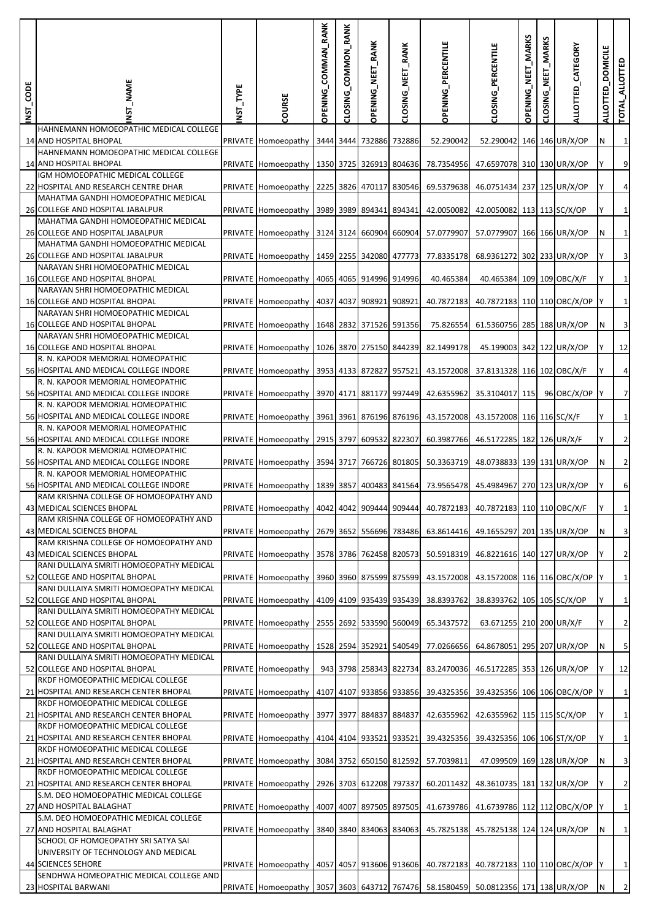| INST_CODE | <b>NAME</b>                                                                 | NST_TYPE | COURSE                                                                              | OPENING_COMMAN_RANK | CLOSING_COMMON_RANK | OPENING_NEET_RANK       | CLOSING_NEET_RANK | <b>OPENING_PERCENTILE</b>          | CLOSING_PERCENTILE            | OPENING_NEET_MARKS | NEET_MARKS<br>CLOSING | ALLOTTED_CATEGORY | <b>DOMICILE</b><br><b>ALLOTTED</b> | TOTAL_ALLOTTED          |
|-----------|-----------------------------------------------------------------------------|----------|-------------------------------------------------------------------------------------|---------------------|---------------------|-------------------------|-------------------|------------------------------------|-------------------------------|--------------------|-----------------------|-------------------|------------------------------------|-------------------------|
|           | HAHNEMANN HOMOEOPATHIC MEDICAL COLLEGE<br>14 AND HOSPITAL BHOPAL            |          | PRIVATE Homoeopathy                                                                 |                     | 3444 3444           |                         | 732886 732886     | 52.290042                          | 52.290042 146 146 UR/X/OP     |                    |                       |                   | N                                  | $\mathbf{1}$            |
|           | HAHNEMANN HOMOEOPATHIC MEDICAL COLLEGE<br>14 AND HOSPITAL BHOPAL            |          | PRIVATE Homoeopathy                                                                 |                     |                     | 1350 3725 326913 804636 |                   | 78.7354956                         | 47.6597078 310 130 UR/X/OP    |                    |                       |                   |                                    | $\boldsymbol{9}$        |
|           | IGM HOMOEOPATHIC MEDICAL COLLEGE<br>22 HOSPITAL AND RESEARCH CENTRE DHAR    |          |                                                                                     |                     |                     |                         |                   |                                    |                               |                    |                       |                   |                                    | $\overline{4}$          |
|           | MAHATMA GANDHI HOMOEOPATHIC MEDICAL                                         |          | PRIVATE Homoeopathy                                                                 |                     |                     | 2225 3826 470117 830546 |                   | 69.5379638                         | 46.0751434 237 125 UR/X/OP    |                    |                       |                   |                                    |                         |
|           | 26 COLLEGE AND HOSPITAL JABALPUR<br>MAHATMA GANDHI HOMOEOPATHIC MEDICAL     |          | PRIVATE Homoeopathy                                                                 |                     |                     | 3989 3989 894341 894341 |                   | 42.0050082                         | 42.0050082 113 113 SC/X/OP    |                    |                       |                   |                                    | $\mathbf{1}$            |
|           | 26 COLLEGE AND HOSPITAL JABALPUR<br>MAHATMA GANDHI HOMOEOPATHIC MEDICAL     |          | PRIVATE Homoeopathy                                                                 |                     |                     | 3124 3124 660904 660904 |                   | 57.0779907                         | 57.0779907 166 166 UR/X/OP    |                    |                       |                   | N                                  | $\mathbf{1}$            |
|           | 26 COLLEGE AND HOSPITAL JABALPUR<br>NARAYAN SHRI HOMOEOPATHIC MEDICAL       |          | PRIVATE Homoeopathy   1459 2255 342080 477773                                       |                     |                     |                         |                   | 77.8335178                         | 68.9361272 302 233 UR/X/OP    |                    |                       |                   |                                    | $\overline{\mathbf{3}}$ |
|           | 16 COLLEGE AND HOSPITAL BHOPAL                                              |          | PRIVATE Homoeopathy                                                                 |                     |                     | 4065 4065 914996 914996 |                   | 40.465384                          | 40.465384 109 109 OBC/X/F     |                    |                       |                   |                                    | $\mathbf{1}$            |
|           | NARAYAN SHRI HOMOEOPATHIC MEDICAL<br>16 COLLEGE AND HOSPITAL BHOPAL         |          | PRIVATE Homoeopathy                                                                 |                     |                     | 4037 4037 908921 908921 |                   | 40.7872183                         | 40.7872183 110 110 OBC/X/OP   |                    |                       |                   |                                    | $\mathbf{1}$            |
|           | NARAYAN SHRI HOMOEOPATHIC MEDICAL<br>16 COLLEGE AND HOSPITAL BHOPAL         |          | PRIVATE Homoeopathy   1648 2832 371526 591356                                       |                     |                     |                         |                   | 75.826554                          | 61.5360756 285 188 UR/X/OP    |                    |                       |                   | IN.                                | $\overline{\mathbf{3}}$ |
|           | NARAYAN SHRI HOMOEOPATHIC MEDICAL<br>16 COLLEGE AND HOSPITAL BHOPAL         |          |                                                                                     |                     |                     |                         |                   |                                    |                               |                    |                       |                   |                                    | 12                      |
|           | R. N. KAPOOR MEMORIAL HOMEOPATHIC                                           |          | PRIVATE Homoeopathy   1026 3870 275150 844239                                       |                     |                     |                         |                   | 82.1499178                         | 45.199003 342 122 UR/X/OP     |                    |                       |                   |                                    |                         |
|           | 56 HOSPITAL AND MEDICAL COLLEGE INDORE<br>R. N. KAPOOR MEMORIAL HOMEOPATHIC |          | PRIVATE Homoeopathy                                                                 |                     |                     | 3953 4133 872827 957521 |                   | 43.1572008                         | 37.8131328 116 102 OBC/X/F    |                    |                       |                   |                                    | $\overline{4}$          |
|           | 56 HOSPITAL AND MEDICAL COLLEGE INDORE<br>R. N. KAPOOR MEMORIAL HOMEOPATHIC |          | PRIVATE Homoeopathy                                                                 |                     |                     |                         |                   | 3970 4171 881177 997449 42.6355962 | 35.3104017 115 96 OBC/X/OP Y  |                    |                       |                   |                                    | $\overline{7}$          |
|           | 56 HOSPITAL AND MEDICAL COLLEGE INDORE<br>R. N. KAPOOR MEMORIAL HOMEOPATHIC |          | PRIVATE Homoeopathy                                                                 |                     |                     | 3961 3961 876196 876196 |                   | 43.1572008                         | 43.1572008 116 116 SC/X/F     |                    |                       |                   |                                    | $\mathbf{1}$            |
|           | 56 HOSPITAL AND MEDICAL COLLEGE INDORE                                      |          | PRIVATE Homoeopathy                                                                 |                     |                     | 2915 3797 609532 822307 |                   | 60.3987766                         | 46.5172285 182 126 UR/X/F     |                    |                       |                   |                                    | $\overline{2}$          |
|           | R. N. KAPOOR MEMORIAL HOMEOPATHIC<br>56 HOSPITAL AND MEDICAL COLLEGE INDORE |          | PRIVATE Homoeopathy 3594 3717 766726 801805                                         |                     |                     |                         |                   | 50.3363719                         | 48.0738833 139 131 UR/X/OP    |                    |                       |                   | IN.                                | $\overline{2}$          |
|           | R. N. KAPOOR MEMORIAL HOMEOPATHIC<br>56 HOSPITAL AND MEDICAL COLLEGE INDORE |          | PRIVATE Homoeopathy   1839 3857 400483 841564                                       |                     |                     |                         |                   | 73.9565478                         | 45.4984967 270 123 UR/X/OP    |                    |                       |                   |                                    | 6                       |
|           | RAM KRISHNA COLLEGE OF HOMOEOPATHY AND<br>43 MEDICAL SCIENCES BHOPAL        |          |                                                                                     |                     |                     |                         |                   |                                    |                               |                    |                       |                   |                                    |                         |
|           | RAM KRISHNA COLLEGE OF HOMOEOPATHY AND                                      |          | PRIVATE Homoeopathy   4042 4042 909444 909444 40.7872183 40.7872183 110 110 OBC/X/F |                     |                     |                         |                   |                                    |                               |                    |                       |                   | IY.                                | $\mathbf{I}$            |
|           | 43 MEDICAL SCIENCES BHOPAL<br>RAM KRISHNA COLLEGE OF HOMOEOPATHY AND        |          | PRIVATE Homoeopathy 2679 3652 556696 783486 63.8614416 49.1655297 201 135 UR/X/OP   |                     |                     |                         |                   |                                    |                               |                    |                       |                   | N                                  | $\overline{\mathbf{3}}$ |
|           | 43 MEDICAL SCIENCES BHOPAL<br>RANI DULLAIYA SMRITI HOMOEOPATHY MEDICAL      |          | PRIVATE Homoeopathy 3578 3786 762458 820573 50.5918319 46.8221616 140 127 UR/X/OP   |                     |                     |                         |                   |                                    |                               |                    |                       |                   |                                    | $\overline{2}$          |
|           | 52 COLLEGE AND HOSPITAL BHOPAL                                              |          | PRIVATE Homoeopathy                                                                 |                     |                     |                         |                   | 3960 3960 875599 875599 43.1572008 | 43.1572008 116 116 OBC/X/OP   |                    |                       |                   |                                    | $\mathbf 1$             |
|           | RANI DULLAIYA SMRITI HOMOEOPATHY MEDICAL<br>52 COLLEGE AND HOSPITAL BHOPAL  |          | PRIVATE Homoeopathy 4109 4109 935439 935439                                         |                     |                     |                         |                   | 38.8393762                         | 38.8393762 105 105 SC/X/OP    |                    |                       |                   |                                    | $\mathbf 1$             |
|           | RANI DULLAIYA SMRITI HOMOEOPATHY MEDICAL<br>52 COLLEGE AND HOSPITAL BHOPAL  |          | PRIVATE Homoeopathy                                                                 |                     |                     | 2555 2692 533590 560049 |                   | 65.3437572                         | 63.671255 210 200 UR/X/F      |                    |                       |                   | Y                                  | $\overline{c}$          |
|           | RANI DULLAIYA SMRITI HOMOEOPATHY MEDICAL<br>52 COLLEGE AND HOSPITAL BHOPAL  |          | PRIVATE Homoeopathy   1528 2594 352921 540549                                       |                     |                     |                         |                   | 77.0266656                         | 64.8678051 295 207 UR/X/OP    |                    |                       |                   | N                                  | $\overline{\mathbf{5}}$ |
|           | RANI DULLAIYA SMRITI HOMOEOPATHY MEDICAL<br>52 COLLEGE AND HOSPITAL BHOPAL  |          | PRIVATE Homoeopathy                                                                 |                     |                     |                         |                   | 943 3798 258343 822734 83.2470036  | 46.5172285 353 126 UR/X/OP    |                    |                       |                   |                                    | 12                      |
|           | RKDF HOMOEOPATHIC MEDICAL COLLEGE                                           |          |                                                                                     |                     |                     |                         |                   |                                    |                               |                    |                       |                   |                                    |                         |
|           | 21 HOSPITAL AND RESEARCH CENTER BHOPAL<br>RKDF HOMOEOPATHIC MEDICAL COLLEGE |          | PRIVATE Homoeopathy   4107 4107 933856 933856                                       |                     |                     |                         |                   | 39.4325356                         | 39.4325356 106 106 OBC/X/OP   |                    |                       |                   |                                    | $\mathbf{1}$            |
|           | 21 HOSPITAL AND RESEARCH CENTER BHOPAL<br>RKDF HOMOEOPATHIC MEDICAL COLLEGE |          | PRIVATE Homoeopathy                                                                 |                     |                     | 3977 3977 884837 884837 |                   | 42.6355962                         | 42.6355962 115 115 SC/X/OP    |                    |                       |                   |                                    | $\mathbf 1$             |
|           | 21 HOSPITAL AND RESEARCH CENTER BHOPAL                                      |          | PRIVATE Homoeopathy   4104 4104 933521 933521                                       |                     |                     |                         |                   | 39.4325356                         | 39.4325356 106 106 ST/X/OP    |                    |                       |                   |                                    | $\mathbf 1$             |
|           | RKDF HOMOEOPATHIC MEDICAL COLLEGE<br>21 HOSPITAL AND RESEARCH CENTER BHOPAL |          | PRIVATE Homoeopathy                                                                 |                     |                     | 3084 3752 650150 812592 |                   | 57.7039811                         | 47.099509 169 128 UR/X/OP     |                    |                       |                   | N                                  | $\overline{\mathbf{3}}$ |
|           | RKDF HOMOEOPATHIC MEDICAL COLLEGE<br>21 HOSPITAL AND RESEARCH CENTER BHOPAL |          | PRIVATE Homoeopathy                                                                 |                     |                     | 2926 3703 612208 797337 |                   | 60.2011432                         | 48.3610735 181 132 UR/X/OP    |                    |                       |                   |                                    | $\overline{c}$          |
|           | S.M. DEO HOMOEOPATHIC MEDICAL COLLEGE<br>27 AND HOSPITAL BALAGHAT           |          | PRIVATE Homoeopathy                                                                 |                     |                     |                         |                   | 4007 4007 897505 897505 41.6739786 | 41.6739786 112 112 OBC/X/OP Y |                    |                       |                   |                                    | $\mathbf 1$             |
|           | S.M. DEO HOMOEOPATHIC MEDICAL COLLEGE<br>27 AND HOSPITAL BALAGHAT           |          | PRIVATE Homoeopathy                                                                 |                     |                     |                         |                   | 3840 3840 834063 834063 45.7825138 | 45.7825138 124 124 UR/X/OP    |                    |                       |                   | N                                  | $\mathbf 1$             |
|           | SCHOOL OF HOMOEOPATHY SRI SATYA SAI                                         |          |                                                                                     |                     |                     |                         |                   |                                    |                               |                    |                       |                   |                                    |                         |
|           | UNIVERSITY OF TECHNOLOGY AND MEDICAL<br>44 SCIENCES SEHORE                  |          | PRIVATE Homoeopathy   4057 4057 913606 913606                                       |                     |                     |                         |                   | 40.7872183                         | 40.7872183 110 110 OBC/X/OP   |                    |                       |                   |                                    | $\mathbf 1$             |
|           | SENDHWA HOMEOPATHIC MEDICAL COLLEGE AND<br>23 HOSPITAL BARWANI              |          | PRIVATE Homoeopathy 3057 3603 643712 767476 58.1580459 50.0812356 171 138 UR/X/OP   |                     |                     |                         |                   |                                    |                               |                    |                       |                   |                                    | $\overline{2}$          |